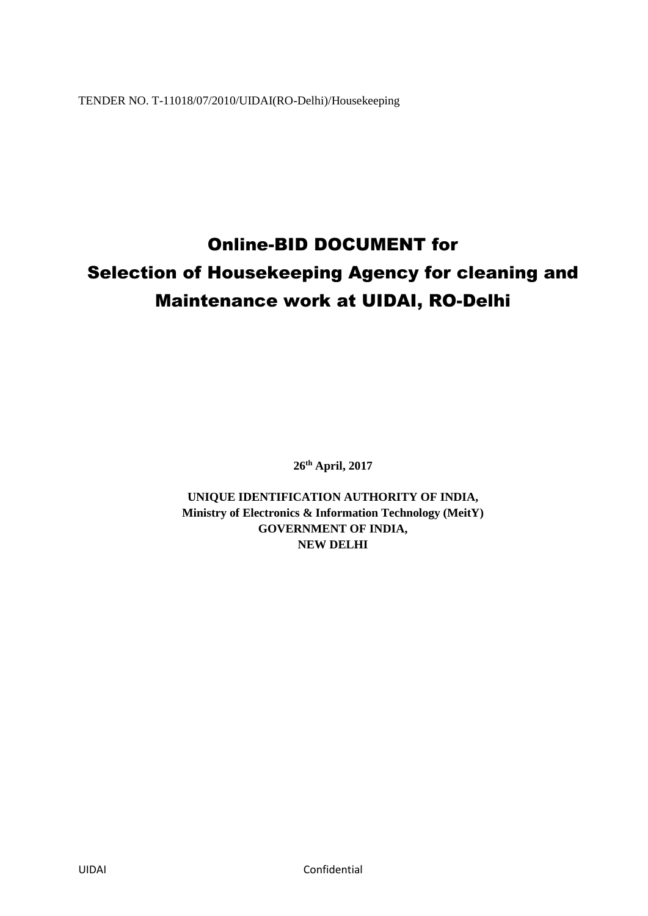TENDER NO. T-11018/07/2010/UIDAI(RO-Delhi)/Housekeeping

# Online-BID DOCUMENT for Selection of Housekeeping Agency for cleaning and Maintenance work at UIDAI, RO-Delhi

**26 th April, 2017**

**UNIQUE IDENTIFICATION AUTHORITY OF INDIA, Ministry of Electronics & Information Technology (MeitY) GOVERNMENT OF INDIA, NEW DELHI**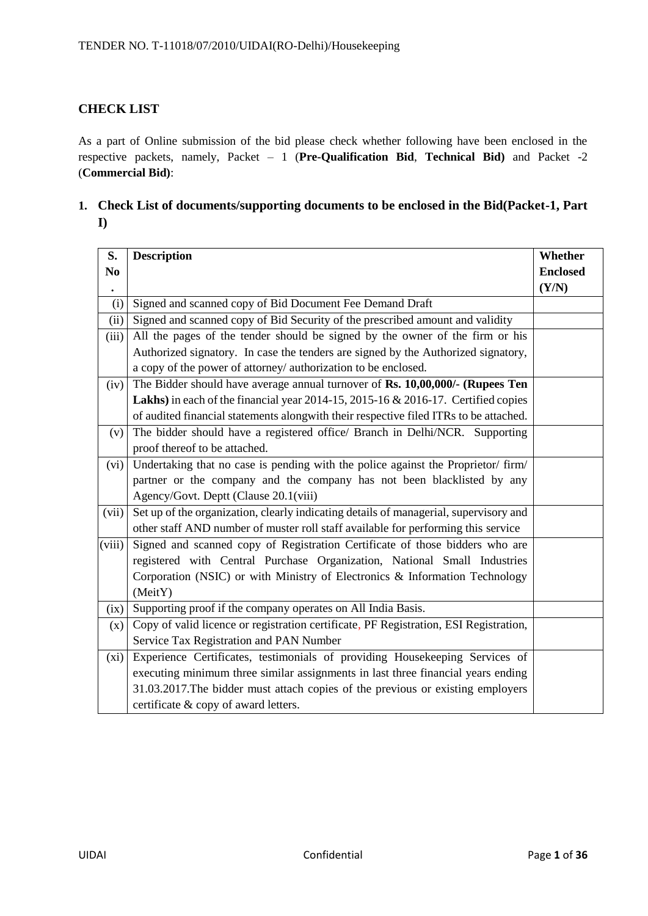# **CHECK LIST**

As a part of Online submission of the bid please check whether following have been enclosed in the respective packets, namely, Packet – 1 (**Pre-Qualification Bid**, **Technical Bid)** and Packet -2 (**Commercial Bid)**:

**1. Check List of documents/supporting documents to be enclosed in the Bid(Packet-1, Part I)**

| S.             | <b>Description</b><br>Whether                                                         |  |  |  |
|----------------|---------------------------------------------------------------------------------------|--|--|--|
| N <sub>0</sub> |                                                                                       |  |  |  |
| $\bullet$      |                                                                                       |  |  |  |
| (i)            | Signed and scanned copy of Bid Document Fee Demand Draft                              |  |  |  |
| (ii)           | Signed and scanned copy of Bid Security of the prescribed amount and validity         |  |  |  |
| (iii)          | All the pages of the tender should be signed by the owner of the firm or his          |  |  |  |
|                | Authorized signatory. In case the tenders are signed by the Authorized signatory,     |  |  |  |
|                | a copy of the power of attorney/ authorization to be enclosed.                        |  |  |  |
| (iv)           | The Bidder should have average annual turnover of Rs. 10,00,000/- (Rupees Ten         |  |  |  |
|                | Lakhs) in each of the financial year 2014-15, 2015-16 & 2016-17. Certified copies     |  |  |  |
|                | of audited financial statements alongwith their respective filed ITRs to be attached. |  |  |  |
| (v)            | The bidder should have a registered office/ Branch in Delhi/NCR. Supporting           |  |  |  |
|                | proof thereof to be attached.                                                         |  |  |  |
| (vi)           | Undertaking that no case is pending with the police against the Proprietor/firm/      |  |  |  |
|                | partner or the company and the company has not been blacklisted by any                |  |  |  |
|                | Agency/Govt. Deptt (Clause 20.1(viii)                                                 |  |  |  |
| (vii)          | Set up of the organization, clearly indicating details of managerial, supervisory and |  |  |  |
|                | other staff AND number of muster roll staff available for performing this service     |  |  |  |
| (viii)         | Signed and scanned copy of Registration Certificate of those bidders who are          |  |  |  |
|                | registered with Central Purchase Organization, National Small Industries              |  |  |  |
|                | Corporation (NSIC) or with Ministry of Electronics & Information Technology           |  |  |  |
|                | (MeitY)                                                                               |  |  |  |
| (ix)           | Supporting proof if the company operates on All India Basis.                          |  |  |  |
| (x)            | Copy of valid licence or registration certificate, PF Registration, ESI Registration, |  |  |  |
|                | Service Tax Registration and PAN Number                                               |  |  |  |
| (xi)           | Experience Certificates, testimonials of providing Housekeeping Services of           |  |  |  |
|                | executing minimum three similar assignments in last three financial years ending      |  |  |  |
|                | 31.03.2017. The bidder must attach copies of the previous or existing employers       |  |  |  |
|                | certificate & copy of award letters.                                                  |  |  |  |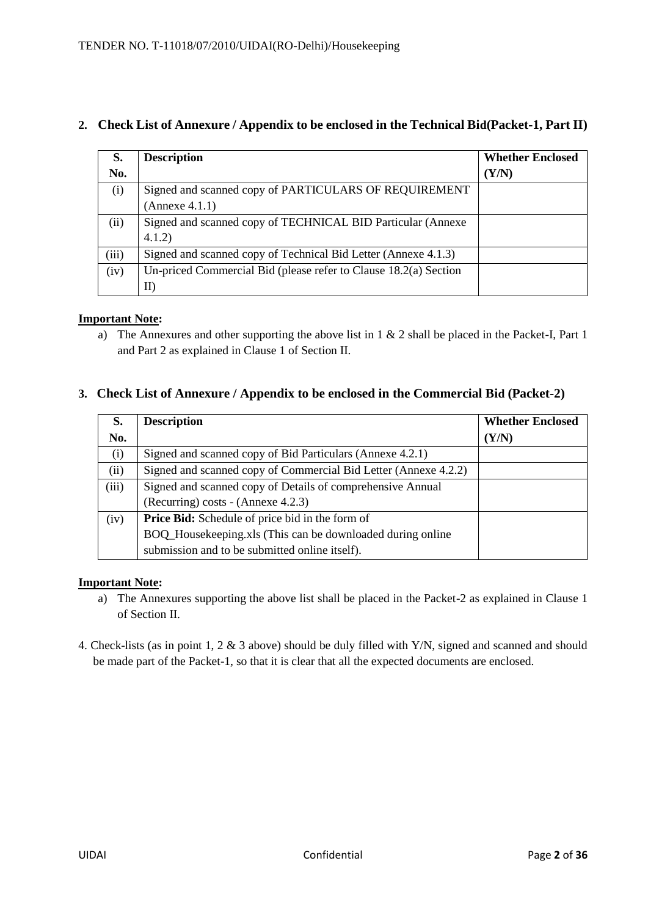| S.    | <b>Description</b>                                               | <b>Whether Enclosed</b> |
|-------|------------------------------------------------------------------|-------------------------|
| No.   |                                                                  | (Y/N)                   |
| (i)   | Signed and scanned copy of PARTICULARS OF REQUIREMENT            |                         |
|       | (Annexe 4.1.1)                                                   |                         |
| (ii)  | Signed and scanned copy of TECHNICAL BID Particular (Annexe      |                         |
|       | 4.1.2)                                                           |                         |
| (iii) | Signed and scanned copy of Technical Bid Letter (Annexe 4.1.3)   |                         |
| (iv)  | Un-priced Commercial Bid (please refer to Clause 18.2(a) Section |                         |
|       | $\mathbf{I}$                                                     |                         |

# **2. Check List of Annexure / Appendix to be enclosed in the Technical Bid(Packet-1, Part II)**

# **Important Note:**

a) The Annexures and other supporting the above list in 1 & 2 shall be placed in the Packet-I, Part 1 and Part 2 as explained in Clause 1 of Section II.

# **3. Check List of Annexure / Appendix to be enclosed in the Commercial Bid (Packet-2)**

| S.    | <b>Description</b>                                              | <b>Whether Enclosed</b> |
|-------|-----------------------------------------------------------------|-------------------------|
| No.   |                                                                 | (Y/N)                   |
| (i)   | Signed and scanned copy of Bid Particulars (Annexe 4.2.1)       |                         |
| (ii)  | Signed and scanned copy of Commercial Bid Letter (Annexe 4.2.2) |                         |
| (iii) | Signed and scanned copy of Details of comprehensive Annual      |                         |
|       | (Recurring) costs - (Annexe 4.2.3)                              |                         |
| (iv)  | <b>Price Bid:</b> Schedule of price bid in the form of          |                         |
|       | BOQ_Housekeeping.xls (This can be downloaded during online      |                         |
|       | submission and to be submitted online itself).                  |                         |

# **Important Note:**

- a) The Annexures supporting the above list shall be placed in the Packet-2 as explained in Clause 1 of Section II.
- 4. Check-lists (as in point 1, 2 & 3 above) should be duly filled with Y/N, signed and scanned and should be made part of the Packet-1, so that it is clear that all the expected documents are enclosed.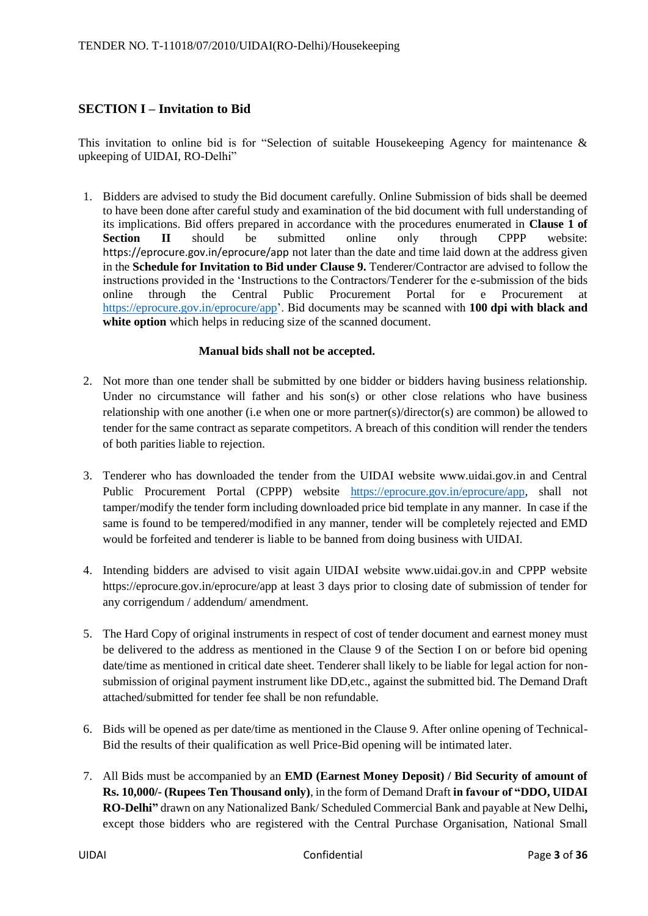# **SECTION I – Invitation to Bid**

This invitation to online bid is for "Selection of suitable Housekeeping Agency for maintenance & upkeeping of UIDAI, RO-Delhi"

1. Bidders are advised to study the Bid document carefully. Online Submission of bids shall be deemed to have been done after careful study and examination of the bid document with full understanding of its implications. Bid offers prepared in accordance with the procedures enumerated in **Clause 1 of Section II** should be submitted online only through CPPP website: <https://eprocure.gov.in/eprocure/app> not later than the date and time laid down at the address given in the **Schedule for Invitation to Bid under Clause 9.** Tenderer/Contractor are advised to follow the instructions provided in the 'Instructions to the Contractors/Tenderer for the e-submission of the bids online through the Central Public Procurement Portal for e Procurement at [https://eprocure.gov.in/eprocure/app'](https://eprocure.gov.in/eprocure/app). Bid documents may be scanned with **100 dpi with black and white option** which helps in reducing size of the scanned document.

#### **Manual bids shall not be accepted.**

- 2. Not more than one tender shall be submitted by one bidder or bidders having business relationship. Under no circumstance will father and his son(s) or other close relations who have business relationship with one another (i.e when one or more partner(s)/director(s) are common) be allowed to tender for the same contract as separate competitors. A breach of this condition will render the tenders of both parities liable to rejection.
- 3. Tenderer who has downloaded the tender from the UIDAI website www.uidai.gov.in and Central Public Procurement Portal (CPPP) website [https://eprocure.gov.in/eprocure/app,](https://eprocure.gov.in/eprocure/app) shall not tamper/modify the tender form including downloaded price bid template in any manner. In case if the same is found to be tempered/modified in any manner, tender will be completely rejected and EMD would be forfeited and tenderer is liable to be banned from doing business with UIDAI.
- 4. Intending bidders are advised to visit again UIDAI website www.uidai.gov.in and CPPP website https://eprocure.gov.in/eprocure/app at least 3 days prior to closing date of submission of tender for any corrigendum / addendum/ amendment.
- 5. The Hard Copy of original instruments in respect of cost of tender document and earnest money must be delivered to the address as mentioned in the Clause 9 of the Section I on or before bid opening date/time as mentioned in critical date sheet. Tenderer shall likely to be liable for legal action for nonsubmission of original payment instrument like DD,etc., against the submitted bid. The Demand Draft attached/submitted for tender fee shall be non refundable.
- 6. Bids will be opened as per date/time as mentioned in the Clause 9. After online opening of Technical-Bid the results of their qualification as well Price-Bid opening will be intimated later.
- 7. All Bids must be accompanied by an **EMD (Earnest Money Deposit) / Bid Security of amount of Rs. 10,000/- (Rupees Ten Thousand only)**, in the form of Demand Draft **in favour of "DDO, UIDAI RO-Delhi"** drawn on any Nationalized Bank/ Scheduled Commercial Bank and payable at New Delhi**,**  except those bidders who are registered with the Central Purchase Organisation, National Small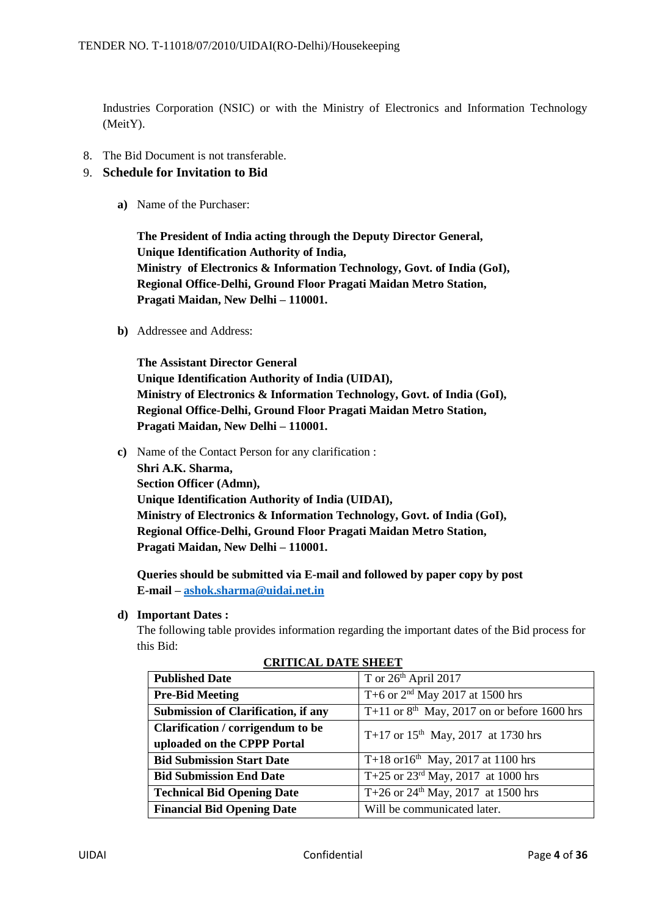Industries Corporation (NSIC) or with the Ministry of Electronics and Information Technology (MeitY).

8. The Bid Document is not transferable.

# 9. **Schedule for Invitation to Bid**

**a)** Name of the Purchaser:

**The President of India acting through the Deputy Director General, Unique Identification Authority of India, Ministry of Electronics & Information Technology, Govt. of India (GoI), Regional Office-Delhi, Ground Floor Pragati Maidan Metro Station, Pragati Maidan, New Delhi – 110001.**

**b)** Addressee and Address:

**The Assistant Director General Unique Identification Authority of India (UIDAI), Ministry of Electronics & Information Technology, Govt. of India (GoI), Regional Office-Delhi, Ground Floor Pragati Maidan Metro Station, Pragati Maidan, New Delhi – 110001.**

**c)** Name of the Contact Person for any clarification :

**Shri A.K. Sharma, Section Officer (Admn), Unique Identification Authority of India (UIDAI), Ministry of Electronics & Information Technology, Govt. of India (GoI), Regional Office-Delhi, Ground Floor Pragati Maidan Metro Station, Pragati Maidan, New Delhi – 110001.**

**Queries should be submitted via E-mail and followed by paper copy by post E-mail – [ashok.sharma@uidai.net.in](mailto:ashok.sharma@uidai.net.in)**

**d) Important Dates :**

The following table provides information regarding the important dates of the Bid process for this Bid:

| <b>Published Date</b>                      | T or $26th$ April 2017                        |
|--------------------------------------------|-----------------------------------------------|
| <b>Pre-Bid Meeting</b>                     | T+6 or $2nd$ May 2017 at 1500 hrs             |
| <b>Submission of Clarification, if any</b> | T+11 or $8th$ May, 2017 on or before 1600 hrs |
| Clarification / corrigendum to be          | T+17 or $15^{th}$ May, 2017 at 1730 hrs       |
| uploaded on the CPPP Portal                |                                               |
| <b>Bid Submission Start Date</b>           | T+18 or16 <sup>th</sup> May, 2017 at 1100 hrs |
| <b>Bid Submission End Date</b>             | T+25 or $23^{rd}$ May, 2017 at 1000 hrs       |
| <b>Technical Bid Opening Date</b>          | T+26 or $24th$ May, 2017 at 1500 hrs          |
| <b>Financial Bid Opening Date</b>          | Will be communicated later.                   |

#### **CRITICAL DATE SHEET**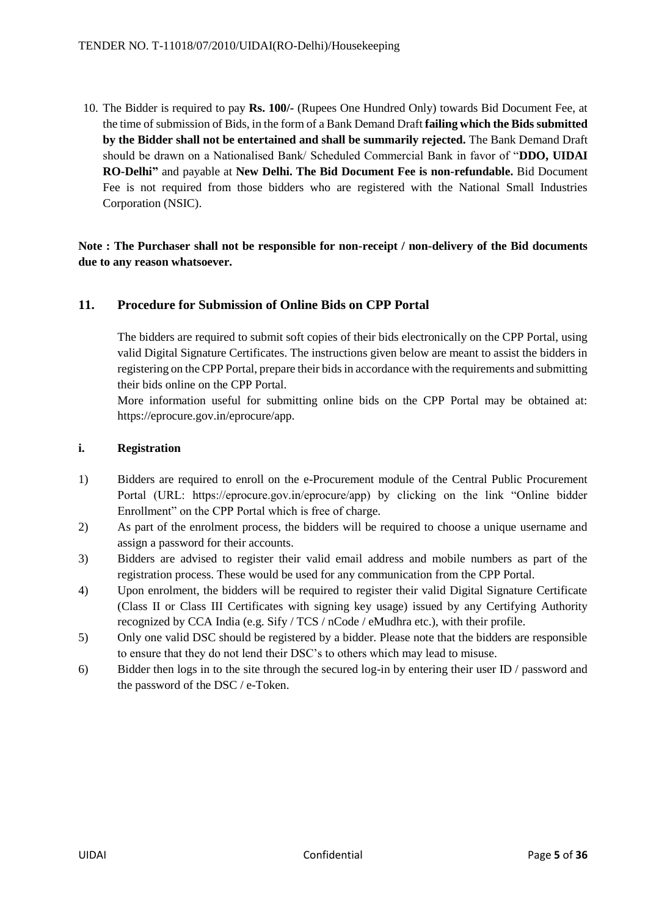10. The Bidder is required to pay **Rs. 100/-** (Rupees One Hundred Only) towards Bid Document Fee, at the time of submission of Bids, in the form of a Bank Demand Draft **failing which the Bids submitted by the Bidder shall not be entertained and shall be summarily rejected.** The Bank Demand Draft should be drawn on a Nationalised Bank/ Scheduled Commercial Bank in favor of "**DDO, UIDAI RO-Delhi"** and payable at **New Delhi. The Bid Document Fee is non-refundable.** Bid Document Fee is not required from those bidders who are registered with the National Small Industries Corporation (NSIC).

**Note : The Purchaser shall not be responsible for non-receipt / non-delivery of the Bid documents due to any reason whatsoever.**

### **11. Procedure for Submission of Online Bids on CPP Portal**

The bidders are required to submit soft copies of their bids electronically on the CPP Portal, using valid Digital Signature Certificates. The instructions given below are meant to assist the bidders in registering on the CPP Portal, prepare their bids in accordance with the requirements and submitting their bids online on the CPP Portal.

More information useful for submitting online bids on the CPP Portal may be obtained at: https://eprocure.gov.in/eprocure/app.

### **i. Registration**

- 1) Bidders are required to enroll on the e-Procurement module of the Central Public Procurement Portal (URL: https://eprocure.gov.in/eprocure/app) by clicking on the link "Online bidder Enrollment" on the CPP Portal which is free of charge.
- 2) As part of the enrolment process, the bidders will be required to choose a unique username and assign a password for their accounts.
- 3) Bidders are advised to register their valid email address and mobile numbers as part of the registration process. These would be used for any communication from the CPP Portal.
- 4) Upon enrolment, the bidders will be required to register their valid Digital Signature Certificate (Class II or Class III Certificates with signing key usage) issued by any Certifying Authority recognized by CCA India (e.g. Sify / TCS / nCode / eMudhra etc.), with their profile.
- 5) Only one valid DSC should be registered by a bidder. Please note that the bidders are responsible to ensure that they do not lend their DSC's to others which may lead to misuse.
- 6) Bidder then logs in to the site through the secured log-in by entering their user ID / password and the password of the DSC / e-Token.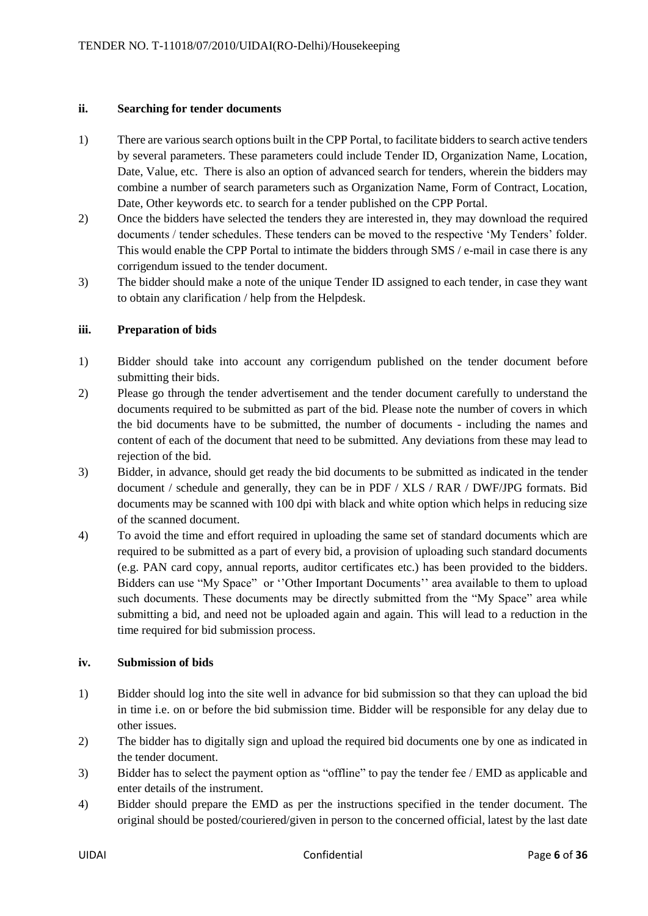#### **ii. Searching for tender documents**

- 1) There are various search options built in the CPP Portal, to facilitate bidders to search active tenders by several parameters. These parameters could include Tender ID, Organization Name, Location, Date, Value, etc. There is also an option of advanced search for tenders, wherein the bidders may combine a number of search parameters such as Organization Name, Form of Contract, Location, Date, Other keywords etc. to search for a tender published on the CPP Portal.
- 2) Once the bidders have selected the tenders they are interested in, they may download the required documents / tender schedules. These tenders can be moved to the respective 'My Tenders' folder. This would enable the CPP Portal to intimate the bidders through SMS / e-mail in case there is any corrigendum issued to the tender document.
- 3) The bidder should make a note of the unique Tender ID assigned to each tender, in case they want to obtain any clarification / help from the Helpdesk.

#### **iii. Preparation of bids**

- 1) Bidder should take into account any corrigendum published on the tender document before submitting their bids.
- 2) Please go through the tender advertisement and the tender document carefully to understand the documents required to be submitted as part of the bid. Please note the number of covers in which the bid documents have to be submitted, the number of documents - including the names and content of each of the document that need to be submitted. Any deviations from these may lead to rejection of the bid.
- 3) Bidder, in advance, should get ready the bid documents to be submitted as indicated in the tender document / schedule and generally, they can be in PDF / XLS / RAR / DWF/JPG formats. Bid documents may be scanned with 100 dpi with black and white option which helps in reducing size of the scanned document.
- 4) To avoid the time and effort required in uploading the same set of standard documents which are required to be submitted as a part of every bid, a provision of uploading such standard documents (e.g. PAN card copy, annual reports, auditor certificates etc.) has been provided to the bidders. Bidders can use "My Space" or ''Other Important Documents'' area available to them to upload such documents. These documents may be directly submitted from the "My Space" area while submitting a bid, and need not be uploaded again and again. This will lead to a reduction in the time required for bid submission process.

#### **iv. Submission of bids**

- 1) Bidder should log into the site well in advance for bid submission so that they can upload the bid in time i.e. on or before the bid submission time. Bidder will be responsible for any delay due to other issues.
- 2) The bidder has to digitally sign and upload the required bid documents one by one as indicated in the tender document.
- 3) Bidder has to select the payment option as "offline" to pay the tender fee / EMD as applicable and enter details of the instrument.
- 4) Bidder should prepare the EMD as per the instructions specified in the tender document. The original should be posted/couriered/given in person to the concerned official, latest by the last date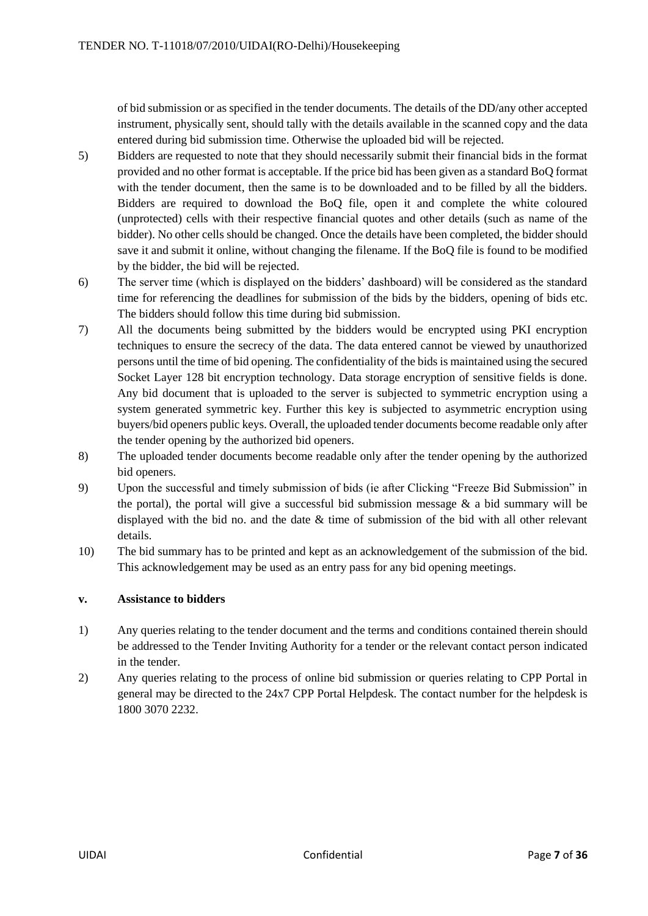of bid submission or as specified in the tender documents. The details of the DD/any other accepted instrument, physically sent, should tally with the details available in the scanned copy and the data entered during bid submission time. Otherwise the uploaded bid will be rejected.

- 5) Bidders are requested to note that they should necessarily submit their financial bids in the format provided and no other format is acceptable. If the price bid has been given as a standard BoQ format with the tender document, then the same is to be downloaded and to be filled by all the bidders. Bidders are required to download the BoQ file, open it and complete the white coloured (unprotected) cells with their respective financial quotes and other details (such as name of the bidder). No other cells should be changed. Once the details have been completed, the bidder should save it and submit it online, without changing the filename. If the BoQ file is found to be modified by the bidder, the bid will be rejected.
- 6) The server time (which is displayed on the bidders' dashboard) will be considered as the standard time for referencing the deadlines for submission of the bids by the bidders, opening of bids etc. The bidders should follow this time during bid submission.
- 7) All the documents being submitted by the bidders would be encrypted using PKI encryption techniques to ensure the secrecy of the data. The data entered cannot be viewed by unauthorized persons until the time of bid opening. The confidentiality of the bids is maintained using the secured Socket Layer 128 bit encryption technology. Data storage encryption of sensitive fields is done. Any bid document that is uploaded to the server is subjected to symmetric encryption using a system generated symmetric key. Further this key is subjected to asymmetric encryption using buyers/bid openers public keys. Overall, the uploaded tender documents become readable only after the tender opening by the authorized bid openers.
- 8) The uploaded tender documents become readable only after the tender opening by the authorized bid openers.
- 9) Upon the successful and timely submission of bids (ie after Clicking "Freeze Bid Submission" in the portal), the portal will give a successful bid submission message  $\&$  a bid summary will be displayed with the bid no. and the date  $\&$  time of submission of the bid with all other relevant details.
- 10) The bid summary has to be printed and kept as an acknowledgement of the submission of the bid. This acknowledgement may be used as an entry pass for any bid opening meetings.

### **v. Assistance to bidders**

- 1) Any queries relating to the tender document and the terms and conditions contained therein should be addressed to the Tender Inviting Authority for a tender or the relevant contact person indicated in the tender.
- 2) Any queries relating to the process of online bid submission or queries relating to CPP Portal in general may be directed to the 24x7 CPP Portal Helpdesk. The contact number for the helpdesk is 1800 3070 2232.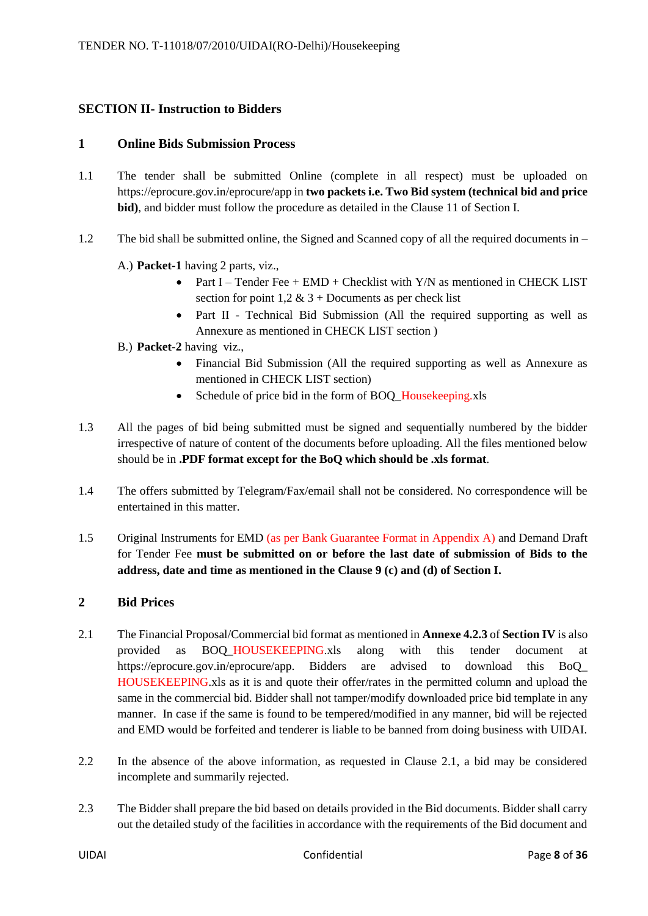# **SECTION II- Instruction to Bidders**

### **1 Online Bids Submission Process**

- 1.1 The tender shall be submitted Online (complete in all respect) must be uploaded on https://eprocure.gov.in/eprocure/app in **two packets i.e. Two Bid system (technical bid and price bid)**, and bidder must follow the procedure as detailed in the Clause 11 of Section I.
- 1.2 The bid shall be submitted online, the Signed and Scanned copy of all the required documents in
	- A.) **Packet-1** having 2 parts, viz.,
		- Part I Tender Fee +  $EMD$  + Checklist with  $Y/N$  as mentioned in CHECK LIST section for point  $1,2 \& 3 +$  Documents as per check list
		- Part II Technical Bid Submission (All the required supporting as well as Annexure as mentioned in CHECK LIST section )
	- B.) **Packet-2** having viz.,
		- Financial Bid Submission (All the required supporting as well as Annexure as mentioned in CHECK LIST section)
		- Schedule of price bid in the form of BOQ\_Housekeeping.xls
- 1.3 All the pages of bid being submitted must be signed and sequentially numbered by the bidder irrespective of nature of content of the documents before uploading. All the files mentioned below should be in **.PDF format except for the BoQ which should be .xls format**.
- 1.4 The offers submitted by Telegram/Fax/email shall not be considered. No correspondence will be entertained in this matter.
- 1.5 Original Instruments for EMD (as per Bank Guarantee Format in Appendix A) and Demand Draft for Tender Fee **must be submitted on or before the last date of submission of Bids to the address, date and time as mentioned in the Clause 9 (c) and (d) of Section I.**

# **2 Bid Prices**

- 2.1 The Financial Proposal/Commercial bid format as mentioned in **Annexe 4.2.3** of **Section IV** is also provided as BOQ\_HOUSEKEEPING.xls along with this tender document at https://eprocure.gov.in/eprocure/app. Bidders are advised to download this BoQ\_ HOUSEKEEPING.xls as it is and quote their offer/rates in the permitted column and upload the same in the commercial bid. Bidder shall not tamper/modify downloaded price bid template in any manner. In case if the same is found to be tempered/modified in any manner, bid will be rejected and EMD would be forfeited and tenderer is liable to be banned from doing business with UIDAI.
- 2.2 In the absence of the above information, as requested in Clause 2.1, a bid may be considered incomplete and summarily rejected.
- 2.3 The Bidder shall prepare the bid based on details provided in the Bid documents. Bidder shall carry out the detailed study of the facilities in accordance with the requirements of the Bid document and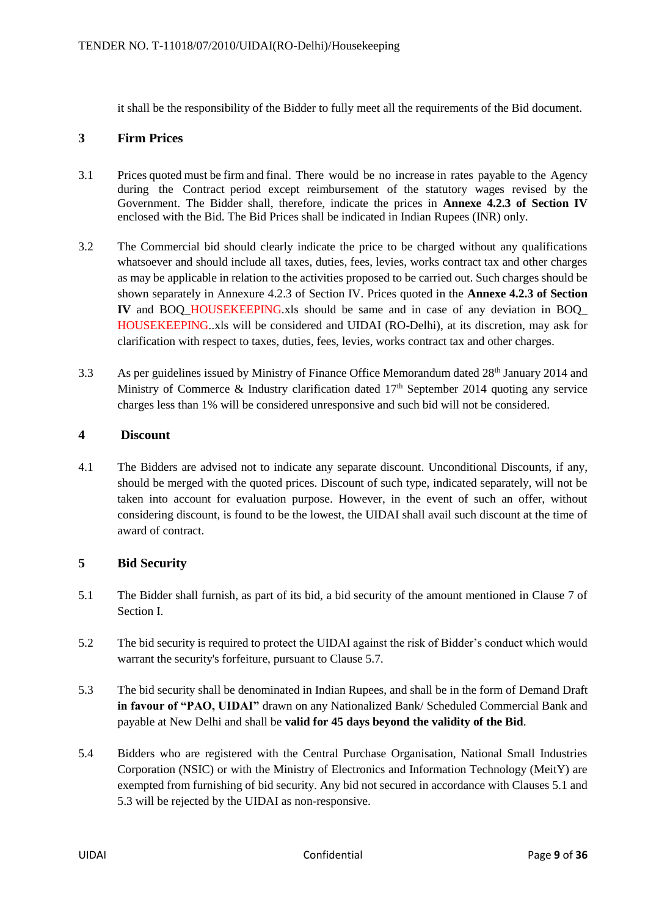it shall be the responsibility of the Bidder to fully meet all the requirements of the Bid document.

### **3 Firm Prices**

- 3.1 Prices quoted must be firm and final. There would be no increase in rates payable to the Agency during the Contract period except reimbursement of the statutory wages revised by the Government. The Bidder shall, therefore, indicate the prices in **Annexe 4.2.3 of Section IV** enclosed with the Bid. The Bid Prices shall be indicated in Indian Rupees (INR) only.
- 3.2 The Commercial bid should clearly indicate the price to be charged without any qualifications whatsoever and should include all taxes, duties, fees, levies, works contract tax and other charges as may be applicable in relation to the activities proposed to be carried out. Such charges should be shown separately in Annexure 4.2.3 of Section IV. Prices quoted in the **Annexe 4.2.3 of Section IV** and BOQ\_HOUSEKEEPING.xls should be same and in case of any deviation in BOQ\_ HOUSEKEEPING..xls will be considered and UIDAI (RO-Delhi), at its discretion, may ask for clarification with respect to taxes, duties, fees, levies, works contract tax and other charges.
- 3.3 As per guidelines issued by Ministry of Finance Office Memorandum dated  $28<sup>th</sup>$  January 2014 and Ministry of Commerce & Industry clarification dated  $17<sup>th</sup>$  September 2014 quoting any service charges less than 1% will be considered unresponsive and such bid will not be considered.

### **4 Discount**

4.1 The Bidders are advised not to indicate any separate discount. Unconditional Discounts, if any, should be merged with the quoted prices. Discount of such type, indicated separately, will not be taken into account for evaluation purpose. However, in the event of such an offer, without considering discount, is found to be the lowest, the UIDAI shall avail such discount at the time of award of contract.

### **5 Bid Security**

- 5.1 The Bidder shall furnish, as part of its bid, a bid security of the amount mentioned in Clause 7 of Section I.
- 5.2 The bid security is required to protect the UIDAI against the risk of Bidder's conduct which would warrant the security's forfeiture, pursuant to Clause 5.7.
- 5.3 The bid security shall be denominated in Indian Rupees, and shall be in the form of Demand Draft **in favour of "PAO, UIDAI"** drawn on any Nationalized Bank/ Scheduled Commercial Bank and payable at New Delhi and shall be **valid for 45 days beyond the validity of the Bid**.
- 5.4 Bidders who are registered with the Central Purchase Organisation, National Small Industries Corporation (NSIC) or with the Ministry of Electronics and Information Technology (MeitY) are exempted from furnishing of bid security. Any bid not secured in accordance with Clauses 5.1 and 5.3 will be rejected by the UIDAI as non-responsive.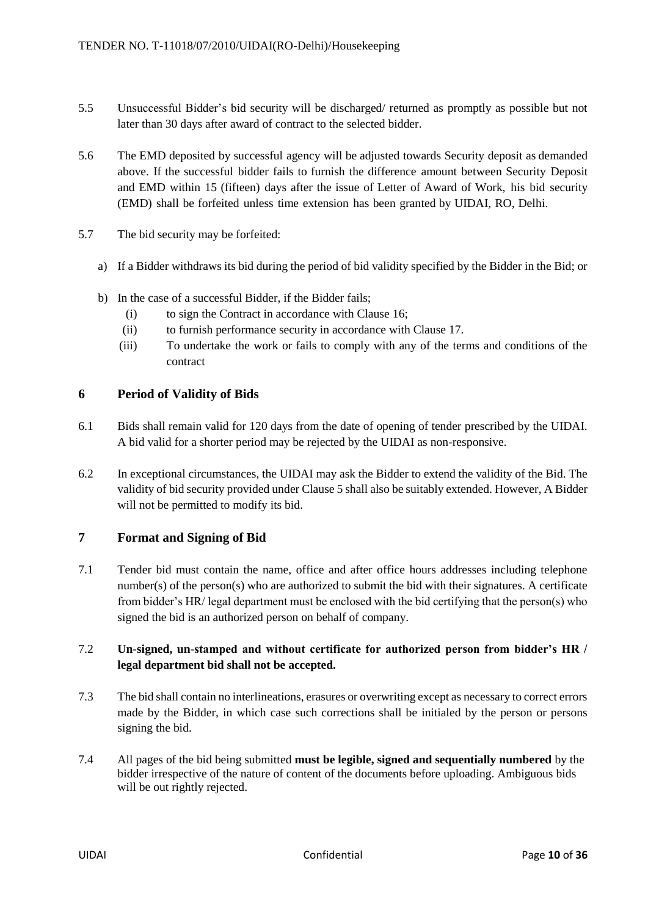- 5.5 Unsuccessful Bidder's bid security will be discharged/ returned as promptly as possible but not later than 30 days after award of contract to the selected bidder.
- 5.6 The EMD deposited by successful agency will be adjusted towards Security deposit as demanded above. If the successful bidder fails to furnish the difference amount between Security Deposit and EMD within 15 (fifteen) days after the issue of Letter of Award of Work, his bid security (EMD) shall be forfeited unless time extension has been granted by UIDAI, RO, Delhi.
- 5.7 The bid security may be forfeited:
	- a) If a Bidder withdraws its bid during the period of bid validity specified by the Bidder in the Bid; or
	- b) In the case of a successful Bidder, if the Bidder fails;
		- (i) to sign the Contract in accordance with Clause 16;
		- (ii) to furnish performance security in accordance with Clause 17.
		- (iii) To undertake the work or fails to comply with any of the terms and conditions of the contract

# **6 Period of Validity of Bids**

- 6.1 Bids shall remain valid for 120 days from the date of opening of tender prescribed by the UIDAI. A bid valid for a shorter period may be rejected by the UIDAI as non-responsive.
- 6.2 In exceptional circumstances, the UIDAI may ask the Bidder to extend the validity of the Bid. The validity of bid security provided under Clause 5 shall also be suitably extended. However, A Bidder will not be permitted to modify its bid.

# **7 Format and Signing of Bid**

7.1 Tender bid must contain the name, office and after office hours addresses including telephone number(s) of the person(s) who are authorized to submit the bid with their signatures. A certificate from bidder's HR/ legal department must be enclosed with the bid certifying that the person(s) who signed the bid is an authorized person on behalf of company.

# 7.2 **Un-signed, un-stamped and without certificate for authorized person from bidder's HR / legal department bid shall not be accepted.**

- 7.3 The bid shall contain no interlineations, erasures or overwriting except as necessary to correct errors made by the Bidder, in which case such corrections shall be initialed by the person or persons signing the bid.
- 7.4 All pages of the bid being submitted **must be legible, signed and sequentially numbered** by the bidder irrespective of the nature of content of the documents before uploading. Ambiguous bids will be out rightly rejected.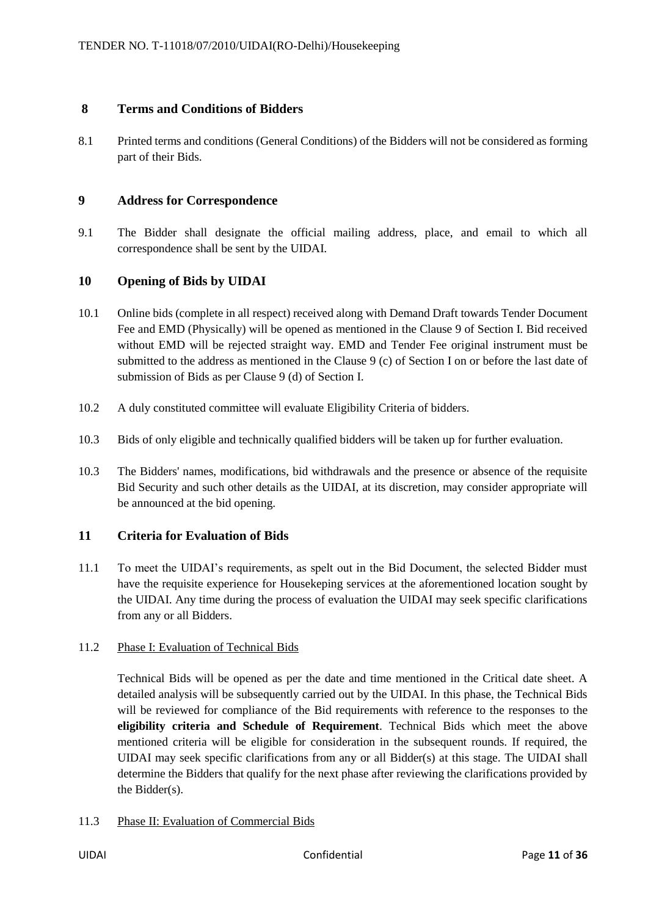# **8 Terms and Conditions of Bidders**

8.1 Printed terms and conditions (General Conditions) of the Bidders will not be considered as forming part of their Bids.

# **9 Address for Correspondence**

9.1 The Bidder shall designate the official mailing address, place, and email to which all correspondence shall be sent by the UIDAI.

# **10 Opening of Bids by UIDAI**

- 10.1 Online bids (complete in all respect) received along with Demand Draft towards Tender Document Fee and EMD (Physically) will be opened as mentioned in the Clause 9 of Section I. Bid received without EMD will be rejected straight way. EMD and Tender Fee original instrument must be submitted to the address as mentioned in the Clause 9 (c) of Section I on or before the last date of submission of Bids as per Clause 9 (d) of Section I.
- 10.2 A duly constituted committee will evaluate Eligibility Criteria of bidders.
- 10.3 Bids of only eligible and technically qualified bidders will be taken up for further evaluation.
- 10.3 The Bidders' names, modifications, bid withdrawals and the presence or absence of the requisite Bid Security and such other details as the UIDAI, at its discretion, may consider appropriate will be announced at the bid opening.

### **11 Criteria for Evaluation of Bids**

11.1 To meet the UIDAI's requirements, as spelt out in the Bid Document, the selected Bidder must have the requisite experience for Housekeping services at the aforementioned location sought by the UIDAI. Any time during the process of evaluation the UIDAI may seek specific clarifications from any or all Bidders.

### 11.2 Phase I: Evaluation of Technical Bids

Technical Bids will be opened as per the date and time mentioned in the Critical date sheet. A detailed analysis will be subsequently carried out by the UIDAI. In this phase, the Technical Bids will be reviewed for compliance of the Bid requirements with reference to the responses to the **eligibility criteria and Schedule of Requirement**. Technical Bids which meet the above mentioned criteria will be eligible for consideration in the subsequent rounds. If required, the UIDAI may seek specific clarifications from any or all Bidder(s) at this stage. The UIDAI shall determine the Bidders that qualify for the next phase after reviewing the clarifications provided by the Bidder(s).

11.3 Phase II: Evaluation of Commercial Bids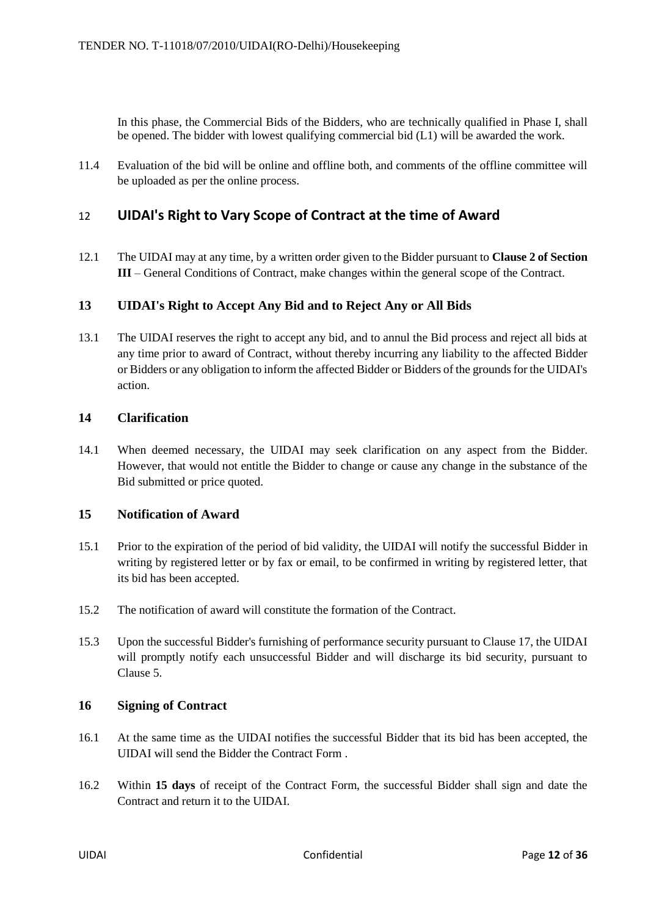In this phase, the Commercial Bids of the Bidders, who are technically qualified in Phase I, shall be opened. The bidder with lowest qualifying commercial bid (L1) will be awarded the work.

11.4 Evaluation of the bid will be online and offline both, and comments of the offline committee will be uploaded as per the online process.

# 12 **UIDAI's Right to Vary Scope of Contract at the time of Award**

12.1 The UIDAI may at any time, by a written order given to the Bidder pursuant to **Clause 2 of Section III** – General Conditions of Contract, make changes within the general scope of the Contract.

# **13 UIDAI's Right to Accept Any Bid and to Reject Any or All Bids**

13.1 The UIDAI reserves the right to accept any bid, and to annul the Bid process and reject all bids at any time prior to award of Contract, without thereby incurring any liability to the affected Bidder or Bidders or any obligation to inform the affected Bidder or Bidders of the grounds for the UIDAI's action.

### **14 Clarification**

14.1 When deemed necessary, the UIDAI may seek clarification on any aspect from the Bidder. However, that would not entitle the Bidder to change or cause any change in the substance of the Bid submitted or price quoted.

### **15 Notification of Award**

- 15.1 Prior to the expiration of the period of bid validity, the UIDAI will notify the successful Bidder in writing by registered letter or by fax or email, to be confirmed in writing by registered letter, that its bid has been accepted.
- 15.2 The notification of award will constitute the formation of the Contract.
- 15.3 Upon the successful Bidder's furnishing of performance security pursuant to Clause 17, the UIDAI will promptly notify each unsuccessful Bidder and will discharge its bid security, pursuant to Clause 5.

### **16 Signing of Contract**

- 16.1 At the same time as the UIDAI notifies the successful Bidder that its bid has been accepted, the UIDAI will send the Bidder the Contract Form .
- 16.2 Within **15 days** of receipt of the Contract Form, the successful Bidder shall sign and date the Contract and return it to the UIDAI.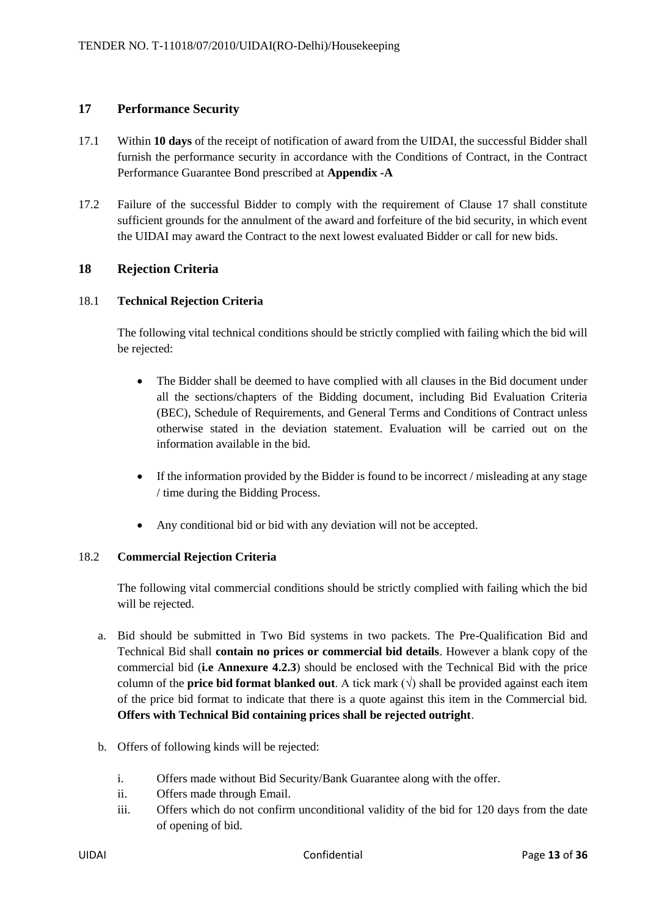# **17 Performance Security**

- 17.1 Within **10 days** of the receipt of notification of award from the UIDAI, the successful Bidder shall furnish the performance security in accordance with the Conditions of Contract, in the Contract Performance Guarantee Bond prescribed at **Appendix -A**
- 17.2 Failure of the successful Bidder to comply with the requirement of Clause 17 shall constitute sufficient grounds for the annulment of the award and forfeiture of the bid security, in which event the UIDAI may award the Contract to the next lowest evaluated Bidder or call for new bids.

### **18 Rejection Criteria**

### 18.1 **Technical Rejection Criteria**

The following vital technical conditions should be strictly complied with failing which the bid will be rejected:

- The Bidder shall be deemed to have complied with all clauses in the Bid document under all the sections/chapters of the Bidding document, including Bid Evaluation Criteria (BEC), Schedule of Requirements, and General Terms and Conditions of Contract unless otherwise stated in the deviation statement. Evaluation will be carried out on the information available in the bid.
- If the information provided by the Bidder is found to be incorrect / misleading at any stage / time during the Bidding Process.
- Any conditional bid or bid with any deviation will not be accepted.

### 18.2 **Commercial Rejection Criteria**

The following vital commercial conditions should be strictly complied with failing which the bid will be rejected.

- a. Bid should be submitted in Two Bid systems in two packets. The Pre-Qualification Bid and Technical Bid shall **contain no prices or commercial bid details**. However a blank copy of the commercial bid (**i.e Annexure 4.2.3**) should be enclosed with the Technical Bid with the price column of the **price bid format blanked out**. A tick mark  $(\sqrt{})$  shall be provided against each item of the price bid format to indicate that there is a quote against this item in the Commercial bid. **Offers with Technical Bid containing prices shall be rejected outright**.
- b. Offers of following kinds will be rejected:
	- i. Offers made without Bid Security/Bank Guarantee along with the offer.
	- ii. Offers made through Email.
	- iii. Offers which do not confirm unconditional validity of the bid for 120 days from the date of opening of bid.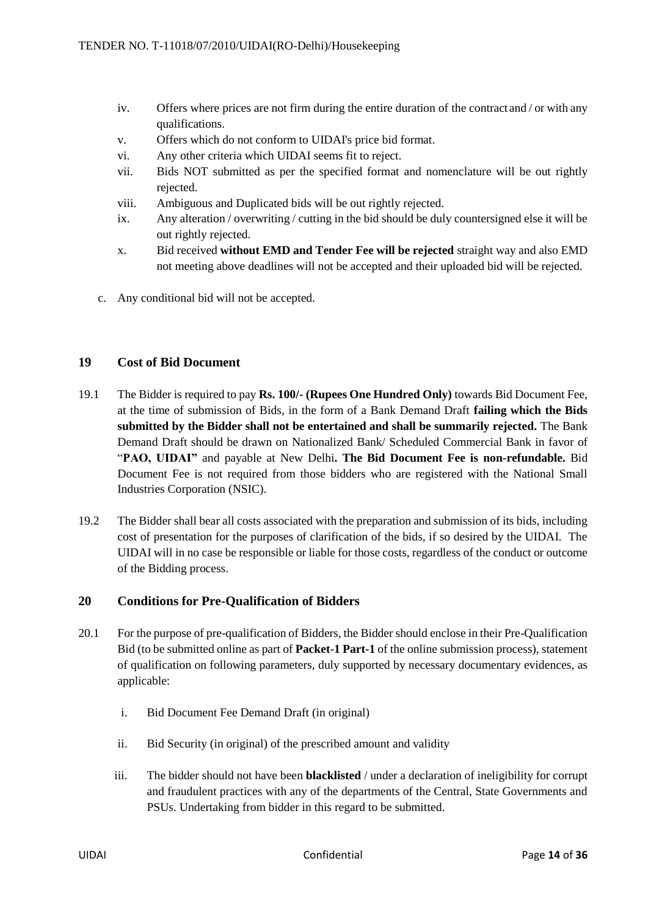- iv. Offers where prices are not firm during the entire duration of the contract and / or with any qualifications.
- v. Offers which do not conform to UIDAI's price bid format.
- vi. Any other criteria which UIDAI seems fit to reject.
- vii. Bids NOT submitted as per the specified format and nomenclature will be out rightly rejected.
- viii. Ambiguous and Duplicated bids will be out rightly rejected.
- ix. Any alteration / overwriting / cutting in the bid should be duly countersigned else it will be out rightly rejected.
- x. Bid received **without EMD and Tender Fee will be rejected** straight way and also EMD not meeting above deadlines will not be accepted and their uploaded bid will be rejected.
- c. Any conditional bid will not be accepted.

# **19 Cost of Bid Document**

- 19.1 The Bidder is required to pay **Rs. 100/- (Rupees One Hundred Only)** towards Bid Document Fee, at the time of submission of Bids, in the form of a Bank Demand Draft **failing which the Bids submitted by the Bidder shall not be entertained and shall be summarily rejected.** The Bank Demand Draft should be drawn on Nationalized Bank/ Scheduled Commercial Bank in favor of "**PAO, UIDAI"** and payable at New Delhi**. The Bid Document Fee is non-refundable.** Bid Document Fee is not required from those bidders who are registered with the National Small Industries Corporation (NSIC).
- 19.2 The Bidder shall bear all costs associated with the preparation and submission of its bids, including cost of presentation for the purposes of clarification of the bids, if so desired by the UIDAI. The UIDAI will in no case be responsible or liable for those costs, regardless of the conduct or outcome of the Bidding process.

### **20 Conditions for Pre-Qualification of Bidders**

- 20.1 For the purpose of pre-qualification of Bidders, the Bidder should enclose in their Pre-Qualification Bid (to be submitted online as part of **Packet-1 Part-1** of the online submission process), statement of qualification on following parameters, duly supported by necessary documentary evidences, as applicable:
	- i. Bid Document Fee Demand Draft (in original)
	- ii. Bid Security (in original) of the prescribed amount and validity
	- iii. The bidder should not have been **blacklisted** / under a declaration of ineligibility for corrupt and fraudulent practices with any of the departments of the Central, State Governments and PSUs. Undertaking from bidder in this regard to be submitted.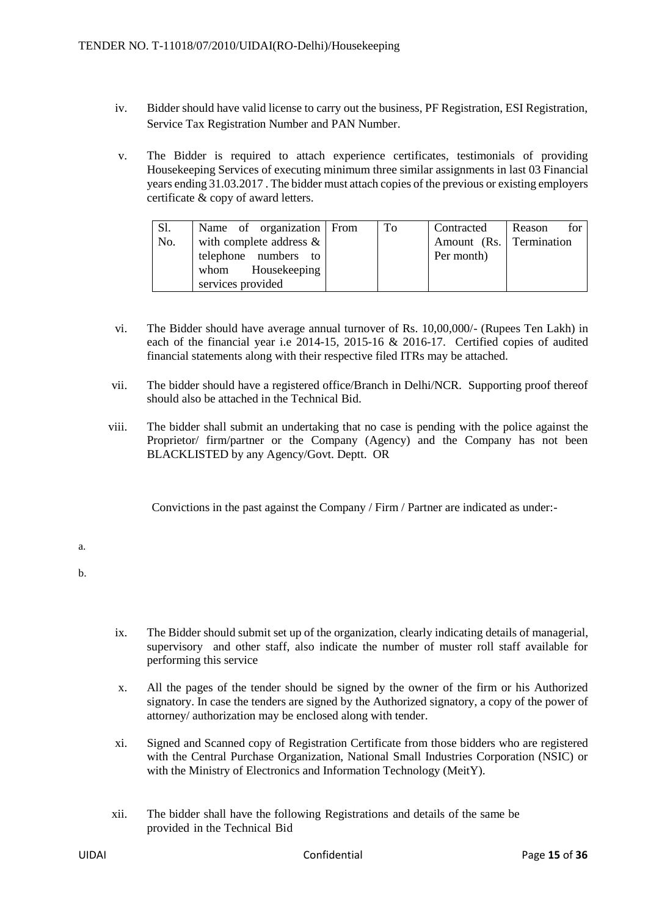- iv. Bidder should have valid license to carry out the business, PF Registration, ESI Registration, Service Tax Registration Number and PAN Number.
- v. The Bidder is required to attach experience certificates, testimonials of providing Housekeeping Services of executing minimum three similar assignments in last 03 Financial years ending 31.03.2017 . The bidder must attach copies of the previous or existing employers certificate & copy of award letters.

| S1. | Name of organization From  | To | Contracted              | for<br>Reason |
|-----|----------------------------|----|-------------------------|---------------|
| No. | with complete address $\&$ |    | Amount (Rs. Termination |               |
|     | telephone numbers to       |    | Per month)              |               |
|     | whom Housekeeping          |    |                         |               |
|     | services provided          |    |                         |               |

- vi. The Bidder should have average annual turnover of Rs. 10,00,000/- (Rupees Ten Lakh) in each of the financial year i.e 2014-15, 2015-16 & 2016-17. Certified copies of audited financial statements along with their respective filed ITRs may be attached.
- vii. The bidder should have a registered office/Branch in Delhi/NCR. Supporting proof thereof should also be attached in the Technical Bid.
- viii. The bidder shall submit an undertaking that no case is pending with the police against the Proprietor/ firm/partner or the Company (Agency) and the Company has not been BLACKLISTED by any Agency/Govt. Deptt. OR

Convictions in the past against the Company / Firm / Partner are indicated as under:-

- ix. The Bidder should submit set up of the organization, clearly indicating details of managerial, supervisory and other staff, also indicate the number of muster roll staff available for performing this service
- x. All the pages of the tender should be signed by the owner of the firm or his Authorized signatory. In case the tenders are signed by the Authorized signatory, a copy of the power of attorney/ authorization may be enclosed along with tender.
- xi. Signed and Scanned copy of Registration Certificate from those bidders who are registered with the Central Purchase Organization, National Small Industries Corporation (NSIC) or with the Ministry of Electronics and Information Technology (MeitY).
- xii. The bidder shall have the following Registrations and details of the same be provided in the Technical Bid

a.

b.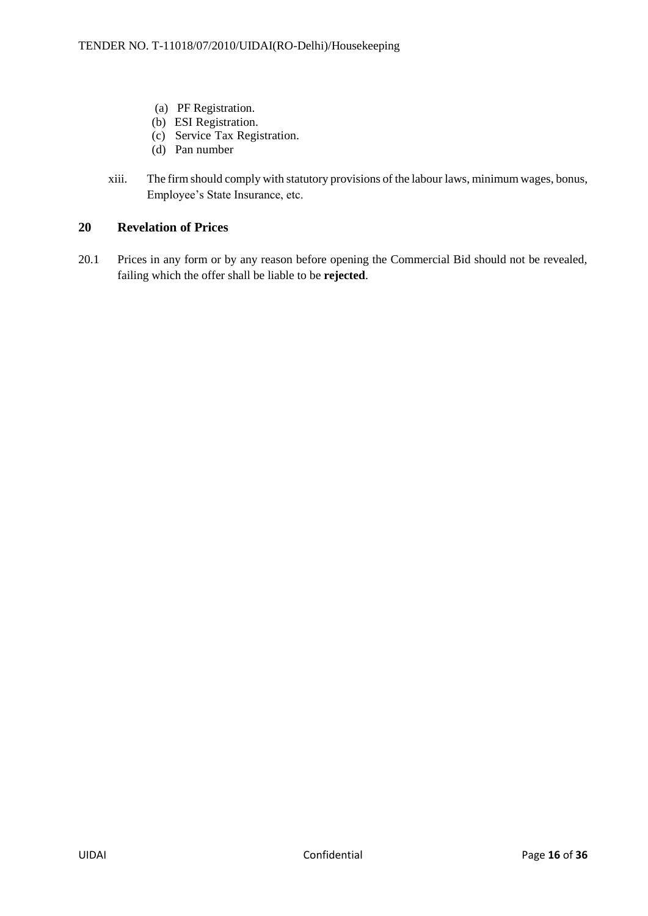- (a) PF Registration.
- (b) ESI Registration.
- (c) Service Tax Registration.
- (d) Pan number
- xiii. The firm should comply with statutory provisions of the labour laws, minimum wages, bonus, Employee's State Insurance, etc.

#### **20 Revelation of Prices**

20.1 Prices in any form or by any reason before opening the Commercial Bid should not be revealed, failing which the offer shall be liable to be **rejected**.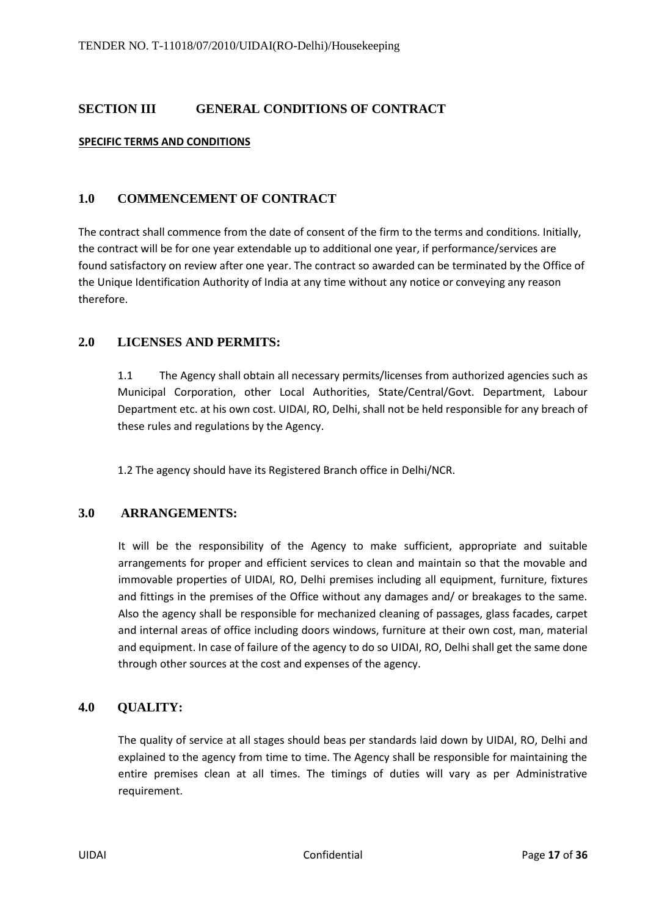# **SECTION III GENERAL CONDITIONS OF CONTRACT**

### **SPECIFIC TERMS AND CONDITIONS**

# **1.0 COMMENCEMENT OF CONTRACT**

The contract shall commence from the date of consent of the firm to the terms and conditions. Initially, the contract will be for one year extendable up to additional one year, if performance/services are found satisfactory on review after one year. The contract so awarded can be terminated by the Office of the Unique Identification Authority of India at any time without any notice or conveying any reason therefore.

# **2.0 LICENSES AND PERMITS:**

1.1 The Agency shall obtain all necessary permits/licenses from authorized agencies such as Municipal Corporation, other Local Authorities, State/Central/Govt. Department, Labour Department etc. at his own cost. UIDAI, RO, Delhi, shall not be held responsible for any breach of these rules and regulations by the Agency.

1.2 The agency should have its Registered Branch office in Delhi/NCR.

# **3.0 ARRANGEMENTS:**

It will be the responsibility of the Agency to make sufficient, appropriate and suitable arrangements for proper and efficient services to clean and maintain so that the movable and immovable properties of UIDAI, RO, Delhi premises including all equipment, furniture, fixtures and fittings in the premises of the Office without any damages and/ or breakages to the same. Also the agency shall be responsible for mechanized cleaning of passages, glass facades, carpet and internal areas of office including doors windows, furniture at their own cost, man, material and equipment. In case of failure of the agency to do so UIDAI, RO, Delhi shall get the same done through other sources at the cost and expenses of the agency.

### **4.0 QUALITY:**

The quality of service at all stages should beas per standards laid down by UIDAI, RO, Delhi and explained to the agency from time to time. The Agency shall be responsible for maintaining the entire premises clean at all times. The timings of duties will vary as per Administrative requirement.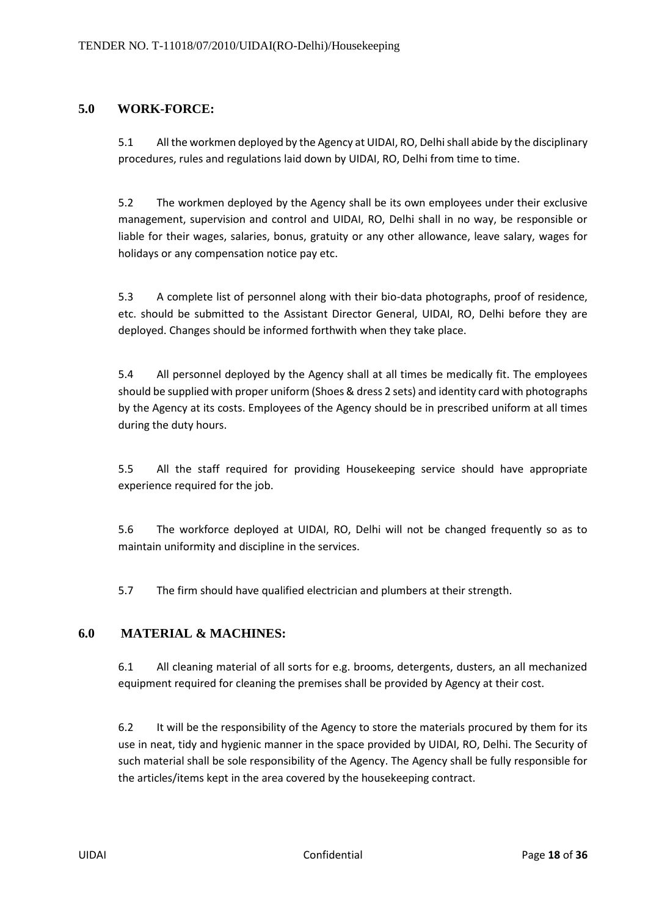# **5.0 WORK-FORCE:**

5.1 All the workmen deployed by the Agency at UIDAI, RO, Delhi shall abide by the disciplinary procedures, rules and regulations laid down by UIDAI, RO, Delhi from time to time.

5.2 The workmen deployed by the Agency shall be its own employees under their exclusive management, supervision and control and UIDAI, RO, Delhi shall in no way, be responsible or liable for their wages, salaries, bonus, gratuity or any other allowance, leave salary, wages for holidays or any compensation notice pay etc.

5.3 A complete list of personnel along with their bio-data photographs, proof of residence, etc. should be submitted to the Assistant Director General, UIDAI, RO, Delhi before they are deployed. Changes should be informed forthwith when they take place.

5.4 All personnel deployed by the Agency shall at all times be medically fit. The employees should be supplied with proper uniform (Shoes & dress 2 sets) and identity card with photographs by the Agency at its costs. Employees of the Agency should be in prescribed uniform at all times during the duty hours.

5.5 All the staff required for providing Housekeeping service should have appropriate experience required for the job.

5.6 The workforce deployed at UIDAI, RO, Delhi will not be changed frequently so as to maintain uniformity and discipline in the services.

5.7 The firm should have qualified electrician and plumbers at their strength.

# **6.0 MATERIAL & MACHINES:**

6.1 All cleaning material of all sorts for e.g. brooms, detergents, dusters, an all mechanized equipment required for cleaning the premises shall be provided by Agency at their cost.

6.2 It will be the responsibility of the Agency to store the materials procured by them for its use in neat, tidy and hygienic manner in the space provided by UIDAI, RO, Delhi. The Security of such material shall be sole responsibility of the Agency. The Agency shall be fully responsible for the articles/items kept in the area covered by the housekeeping contract.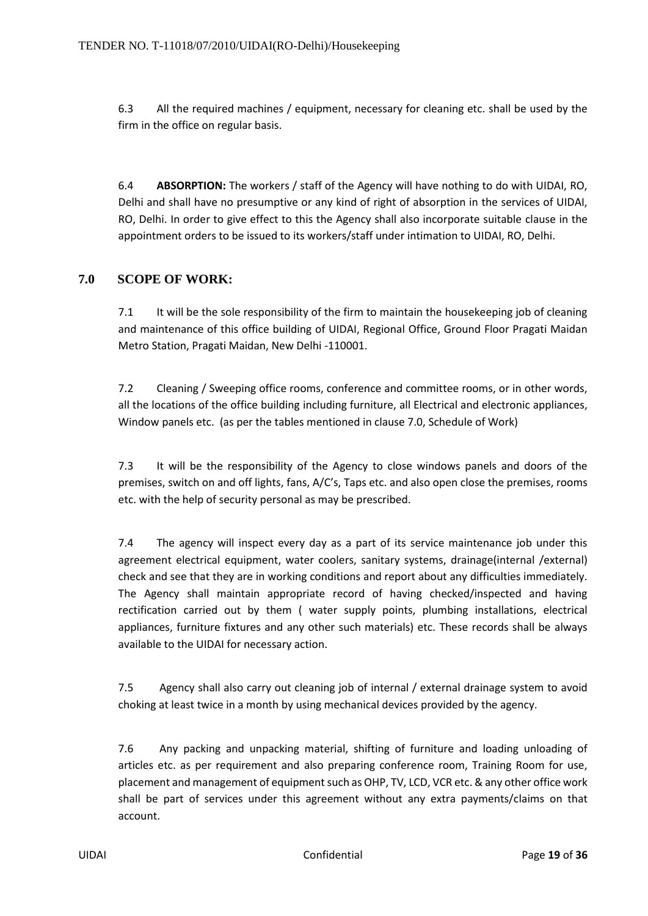6.3 All the required machines / equipment, necessary for cleaning etc. shall be used by the firm in the office on regular basis.

6.4 **ABSORPTION:** The workers / staff of the Agency will have nothing to do with UIDAI, RO, Delhi and shall have no presumptive or any kind of right of absorption in the services of UIDAI, RO, Delhi. In order to give effect to this the Agency shall also incorporate suitable clause in the appointment orders to be issued to its workers/staff under intimation to UIDAI, RO, Delhi.

# **7.0 SCOPE OF WORK:**

7.1 It will be the sole responsibility of the firm to maintain the housekeeping job of cleaning and maintenance of this office building of UIDAI, Regional Office, Ground Floor Pragati Maidan Metro Station, Pragati Maidan, New Delhi -110001.

7.2 Cleaning / Sweeping office rooms, conference and committee rooms, or in other words, all the locations of the office building including furniture, all Electrical and electronic appliances, Window panels etc. (as per the tables mentioned in clause 7.0, Schedule of Work)

7.3 It will be the responsibility of the Agency to close windows panels and doors of the premises, switch on and off lights, fans, A/C's, Taps etc. and also open close the premises, rooms etc. with the help of security personal as may be prescribed.

7.4 The agency will inspect every day as a part of its service maintenance job under this agreement electrical equipment, water coolers, sanitary systems, drainage(internal /external) check and see that they are in working conditions and report about any difficulties immediately. The Agency shall maintain appropriate record of having checked/inspected and having rectification carried out by them ( water supply points, plumbing installations, electrical appliances, furniture fixtures and any other such materials) etc. These records shall be always available to the UIDAI for necessary action.

7.5 Agency shall also carry out cleaning job of internal / external drainage system to avoid choking at least twice in a month by using mechanical devices provided by the agency.

7.6 Any packing and unpacking material, shifting of furniture and loading unloading of articles etc. as per requirement and also preparing conference room, Training Room for use, placement and management of equipment such as OHP, TV, LCD, VCR etc. & any other office work shall be part of services under this agreement without any extra payments/claims on that account.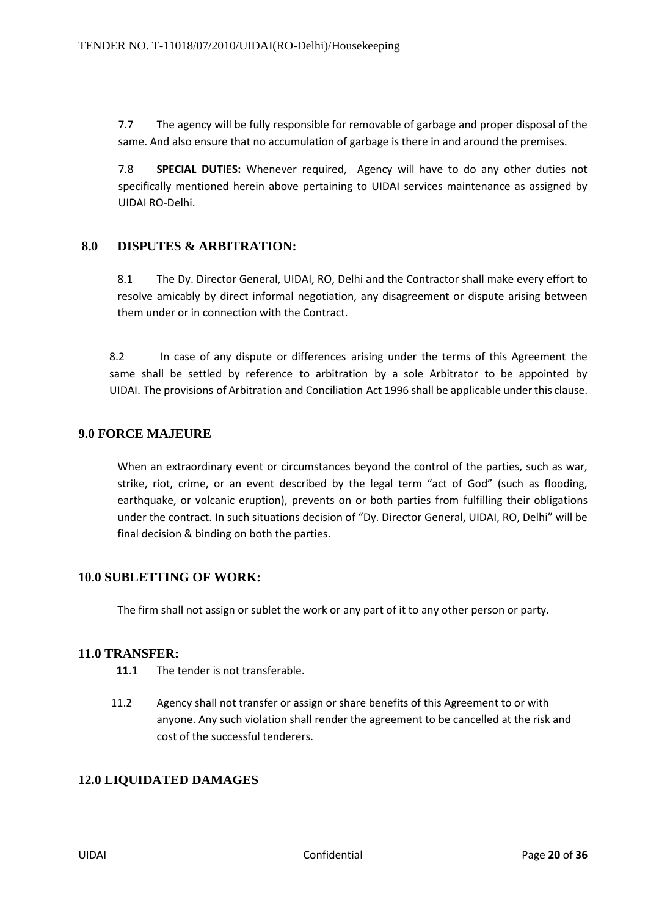7.7 The agency will be fully responsible for removable of garbage and proper disposal of the same. And also ensure that no accumulation of garbage is there in and around the premises.

7.8 **SPECIAL DUTIES:** Whenever required, Agency will have to do any other duties not specifically mentioned herein above pertaining to UIDAI services maintenance as assigned by UIDAI RO-Delhi.

# **8.0 DISPUTES & ARBITRATION:**

8.1 The Dy. Director General, UIDAI, RO, Delhi and the Contractor shall make every effort to resolve amicably by direct informal negotiation, any disagreement or dispute arising between them under or in connection with the Contract.

8.2 In case of any dispute or differences arising under the terms of this Agreement the same shall be settled by reference to arbitration by a sole Arbitrator to be appointed by UIDAI. The provisions of Arbitration and Conciliation Act 1996 shall be applicable under this clause.

### **9.0 FORCE MAJEURE**

When an extraordinary event or circumstances beyond the control of the parties, such as war, strike, riot, crime, or an event described by the legal term "act of God" (such as flooding, earthquake, or volcanic eruption), prevents on or both parties from fulfilling their obligations under the contract. In such situations decision of "Dy. Director General, UIDAI, RO, Delhi" will be final decision & binding on both the parties.

### **10.0 SUBLETTING OF WORK:**

The firm shall not assign or sublet the work or any part of it to any other person or party.

### **11.0 TRANSFER:**

- 11.1 The tender is not transferable.
- 11.2 Agency shall not transfer or assign or share benefits of this Agreement to or with anyone. Any such violation shall render the agreement to be cancelled at the risk and cost of the successful tenderers.

# **12.0 LIQUIDATED DAMAGES**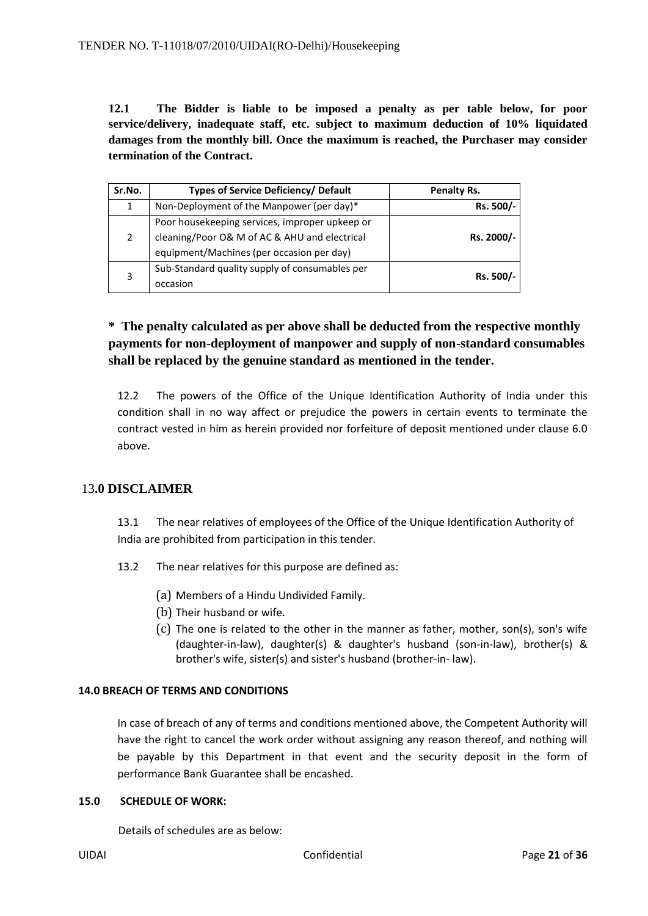**12.1 The Bidder is liable to be imposed a penalty as per table below, for poor service/delivery, inadequate staff, etc. subject to maximum deduction of 10% liquidated damages from the monthly bill. Once the maximum is reached, the Purchaser may consider termination of the Contract.** 

| Sr.No. | <b>Types of Service Deficiency/ Default</b>                                                                                                  | Penalty Rs. |  |
|--------|----------------------------------------------------------------------------------------------------------------------------------------------|-------------|--|
| 1      | Non-Deployment of the Manpower (per day)*                                                                                                    | Rs. 500/-   |  |
|        | Poor housekeeping services, improper upkeep or<br>cleaning/Poor O& M of AC & AHU and electrical<br>equipment/Machines (per occasion per day) | Rs. 2000/-  |  |
|        | Sub-Standard quality supply of consumables per<br>occasion                                                                                   | Rs. 500/-   |  |

**\* The penalty calculated as per above shall be deducted from the respective monthly payments for non-deployment of manpower and supply of non-standard consumables shall be replaced by the genuine standard as mentioned in the tender.** 

12.2 The powers of the Office of the Unique Identification Authority of India under this condition shall in no way affect or prejudice the powers in certain events to terminate the contract vested in him as herein provided nor forfeiture of deposit mentioned under clause 6.0 above.

# 13**.0 DISCLAIMER**

13.1 The near relatives of employees of the Office of the Unique Identification Authority of India are prohibited from participation in this tender.

- 13.2 The near relatives for this purpose are defined as:
	- (a) Members of a Hindu Undivided Family.
	- (b) Their husband or wife.
	- (c) The one is related to the other in the manner as father, mother, son(s), son's wife (daughter-in-law), daughter(s) & daughter's husband (son-in-law), brother(s) & brother's wife, sister(s) and sister's husband (brother-in- law).

### **14.0 BREACH OF TERMS AND CONDITIONS**

In case of breach of any of terms and conditions mentioned above, the Competent Authority will have the right to cancel the work order without assigning any reason thereof, and nothing will be payable by this Department in that event and the security deposit in the form of performance Bank Guarantee shall be encashed.

#### **15.0 SCHEDULE OF WORK:**

Details of schedules are as below: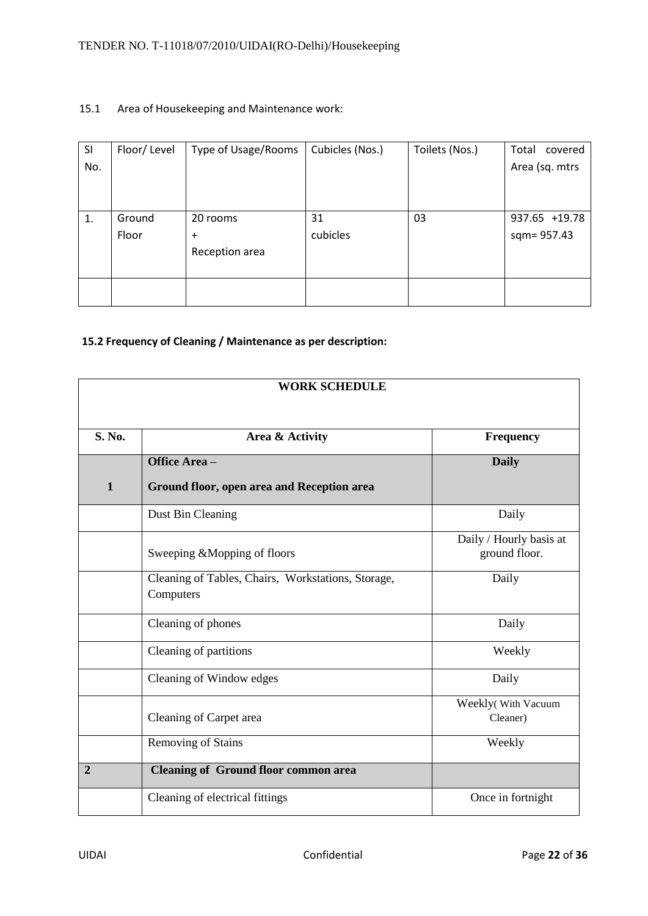### 15.1 Area of Housekeeping and Maintenance work:

| -SI | Floor/Level | Type of Usage/Rooms | Cubicles (Nos.) | Toilets (Nos.) | Total<br>covered |
|-----|-------------|---------------------|-----------------|----------------|------------------|
| No. |             |                     |                 |                | Area (sq. mtrs   |
|     |             |                     |                 |                |                  |
|     |             |                     |                 |                |                  |
| 1.  | Ground      | 20 rooms            | 31              | 03             | 937.65 +19.78    |
|     | Floor       | $\ddot{}$           | cubicles        |                | sqm= 957.43      |
|     |             | Reception area      |                 |                |                  |
|     |             |                     |                 |                |                  |
|     |             |                     |                 |                |                  |
|     |             |                     |                 |                |                  |

# **15.2 Frequency of Cleaning / Maintenance as per description:**

|                | <b>WORK SCHEDULE</b>                                            |                                          |  |  |  |
|----------------|-----------------------------------------------------------------|------------------------------------------|--|--|--|
|                |                                                                 |                                          |  |  |  |
| S. No.         | Area & Activity                                                 | <b>Frequency</b>                         |  |  |  |
|                | <b>Office Area -</b>                                            | <b>Daily</b>                             |  |  |  |
| $\mathbf{1}$   | Ground floor, open area and Reception area                      |                                          |  |  |  |
|                | Dust Bin Cleaning                                               | Daily                                    |  |  |  |
|                | Sweeping & Mopping of floors                                    | Daily / Hourly basis at<br>ground floor. |  |  |  |
|                | Cleaning of Tables, Chairs, Workstations, Storage,<br>Computers | Daily                                    |  |  |  |
|                | Cleaning of phones                                              | Daily                                    |  |  |  |
|                | Cleaning of partitions                                          | Weekly                                   |  |  |  |
|                | Cleaning of Window edges                                        | Daily                                    |  |  |  |
|                | Cleaning of Carpet area                                         | Weekly(With Vacuum<br>Cleaner)           |  |  |  |
|                | Removing of Stains                                              | Weekly                                   |  |  |  |
| $\overline{2}$ | <b>Cleaning of Ground floor common area</b>                     |                                          |  |  |  |
|                | Cleaning of electrical fittings                                 | Once in fortnight                        |  |  |  |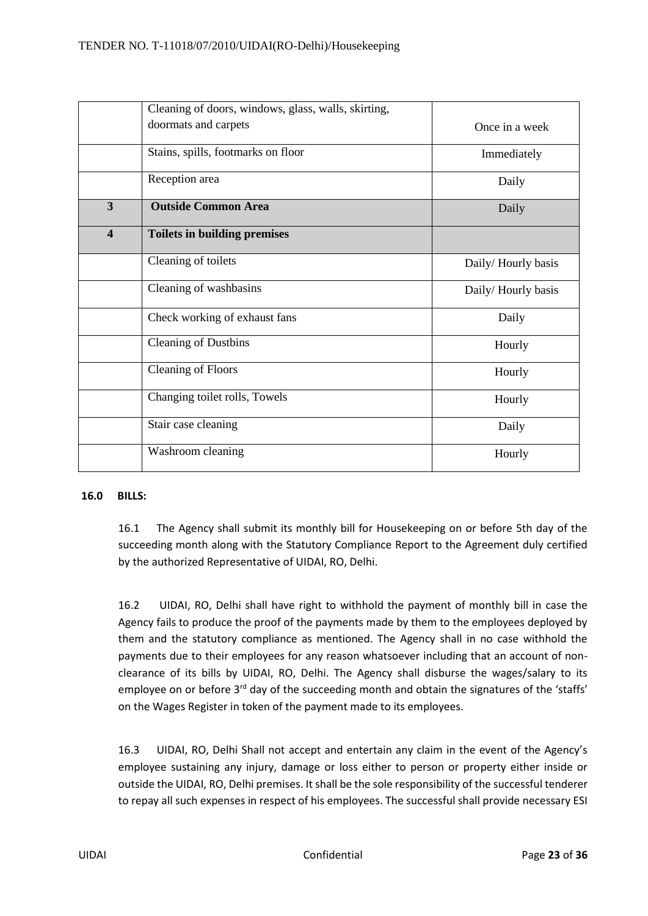|                         | Cleaning of doors, windows, glass, walls, skirting, |                    |
|-------------------------|-----------------------------------------------------|--------------------|
|                         | doormats and carpets                                | Once in a week     |
|                         | Stains, spills, footmarks on floor                  | Immediately        |
|                         | Reception area                                      | Daily              |
| 3                       | <b>Outside Common Area</b>                          | Daily              |
| $\overline{\mathbf{4}}$ | <b>Toilets in building premises</b>                 |                    |
|                         | Cleaning of toilets                                 | Daily/Hourly basis |
|                         | Cleaning of washbasins                              | Daily/Hourly basis |
|                         | Check working of exhaust fans                       | Daily              |
|                         | <b>Cleaning of Dustbins</b>                         | Hourly             |
|                         | <b>Cleaning of Floors</b>                           | Hourly             |
|                         | Changing toilet rolls, Towels                       | Hourly             |
|                         | Stair case cleaning                                 | Daily              |
|                         | Washroom cleaning                                   | Hourly             |

#### **16.0 BILLS:**

16.1 The Agency shall submit its monthly bill for Housekeeping on or before 5th day of the succeeding month along with the Statutory Compliance Report to the Agreement duly certified by the authorized Representative of UIDAI, RO, Delhi.

16.2 UIDAI, RO, Delhi shall have right to withhold the payment of monthly bill in case the Agency fails to produce the proof of the payments made by them to the employees deployed by them and the statutory compliance as mentioned. The Agency shall in no case withhold the payments due to their employees for any reason whatsoever including that an account of nonclearance of its bills by UIDAI, RO, Delhi. The Agency shall disburse the wages/salary to its employee on or before  $3<sup>rd</sup>$  day of the succeeding month and obtain the signatures of the 'staffs' on the Wages Register in token of the payment made to its employees.

16.3 UIDAI, RO, Delhi Shall not accept and entertain any claim in the event of the Agency's employee sustaining any injury, damage or loss either to person or property either inside or outside the UIDAI, RO, Delhi premises. It shall be the sole responsibility of the successful tenderer to repay all such expenses in respect of his employees. The successful shall provide necessary ESI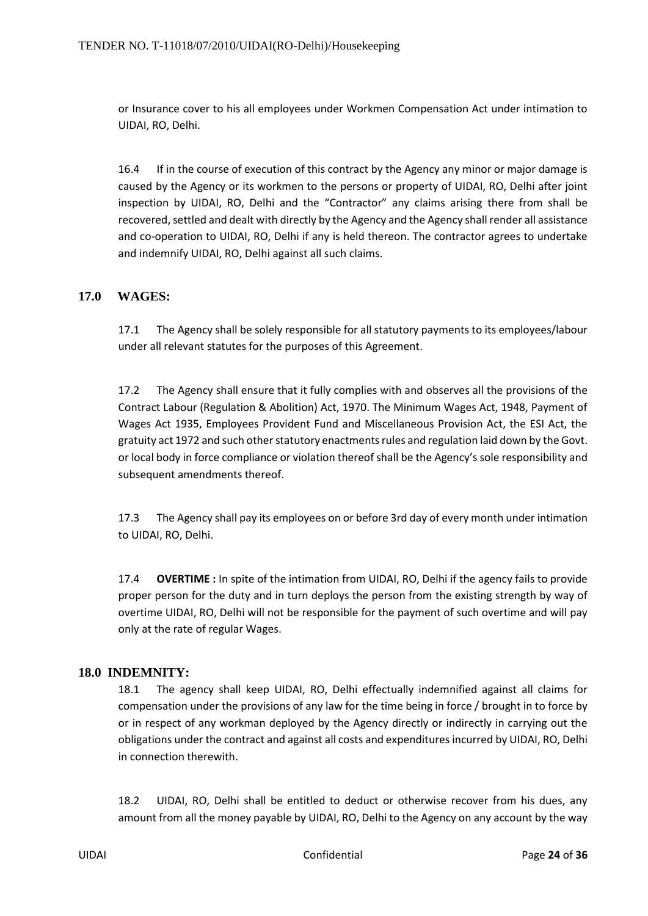or Insurance cover to his all employees under Workmen Compensation Act under intimation to UIDAI, RO, Delhi.

16.4 If in the course of execution of this contract by the Agency any minor or major damage is caused by the Agency or its workmen to the persons or property of UIDAI, RO, Delhi after joint inspection by UIDAI, RO, Delhi and the "Contractor" any claims arising there from shall be recovered, settled and dealt with directly by the Agency and the Agency shall render all assistance and co-operation to UIDAI, RO, Delhi if any is held thereon. The contractor agrees to undertake and indemnify UIDAI, RO, Delhi against all such claims.

# **17.0 WAGES:**

17.1 The Agency shall be solely responsible for all statutory payments to its employees/labour under all relevant statutes for the purposes of this Agreement.

17.2 The Agency shall ensure that it fully complies with and observes all the provisions of the Contract Labour (Regulation & Abolition) Act, 1970. The Minimum Wages Act, 1948, Payment of Wages Act 1935, Employees Provident Fund and Miscellaneous Provision Act, the ESI Act, the gratuity act 1972 and such other statutory enactments rules and regulation laid down by the Govt. or local body in force compliance or violation thereof shall be the Agency's sole responsibility and subsequent amendments thereof.

17.3 The Agency shall pay its employees on or before 3rd day of every month under intimation to UIDAI, RO, Delhi.

17.4 **OVERTIME :** In spite of the intimation from UIDAI, RO, Delhi if the agency fails to provide proper person for the duty and in turn deploys the person from the existing strength by way of overtime UIDAI, RO, Delhi will not be responsible for the payment of such overtime and will pay only at the rate of regular Wages.

# **18.0 INDEMNITY:**

18.1 The agency shall keep UIDAI, RO, Delhi effectually indemnified against all claims for compensation under the provisions of any law for the time being in force / brought in to force by or in respect of any workman deployed by the Agency directly or indirectly in carrying out the obligations under the contract and against all costs and expenditures incurred by UIDAI, RO, Delhi in connection therewith.

18.2 UIDAI, RO, Delhi shall be entitled to deduct or otherwise recover from his dues, any amount from all the money payable by UIDAI, RO, Delhi to the Agency on any account by the way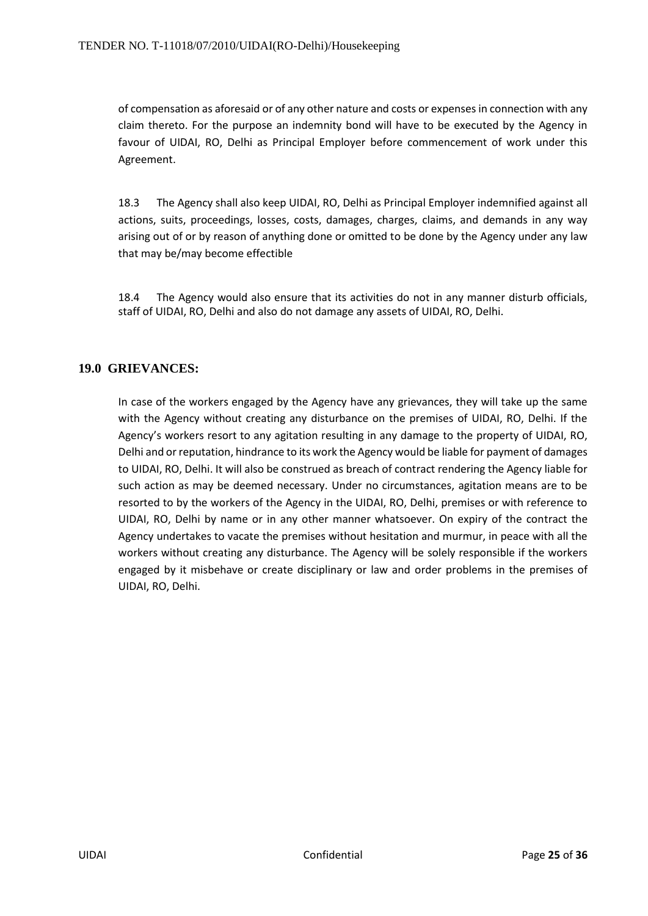of compensation as aforesaid or of any other nature and costs or expenses in connection with any claim thereto. For the purpose an indemnity bond will have to be executed by the Agency in favour of UIDAI, RO, Delhi as Principal Employer before commencement of work under this Agreement.

18.3 The Agency shall also keep UIDAI, RO, Delhi as Principal Employer indemnified against all actions, suits, proceedings, losses, costs, damages, charges, claims, and demands in any way arising out of or by reason of anything done or omitted to be done by the Agency under any law that may be/may become effectible

18.4 The Agency would also ensure that its activities do not in any manner disturb officials, staff of UIDAI, RO, Delhi and also do not damage any assets of UIDAI, RO, Delhi.

# **19.0 GRIEVANCES:**

In case of the workers engaged by the Agency have any grievances, they will take up the same with the Agency without creating any disturbance on the premises of UIDAI, RO, Delhi. If the Agency's workers resort to any agitation resulting in any damage to the property of UIDAI, RO, Delhi and or reputation, hindrance to its work the Agency would be liable for payment of damages to UIDAI, RO, Delhi. It will also be construed as breach of contract rendering the Agency liable for such action as may be deemed necessary. Under no circumstances, agitation means are to be resorted to by the workers of the Agency in the UIDAI, RO, Delhi, premises or with reference to UIDAI, RO, Delhi by name or in any other manner whatsoever. On expiry of the contract the Agency undertakes to vacate the premises without hesitation and murmur, in peace with all the workers without creating any disturbance. The Agency will be solely responsible if the workers engaged by it misbehave or create disciplinary or law and order problems in the premises of UIDAI, RO, Delhi.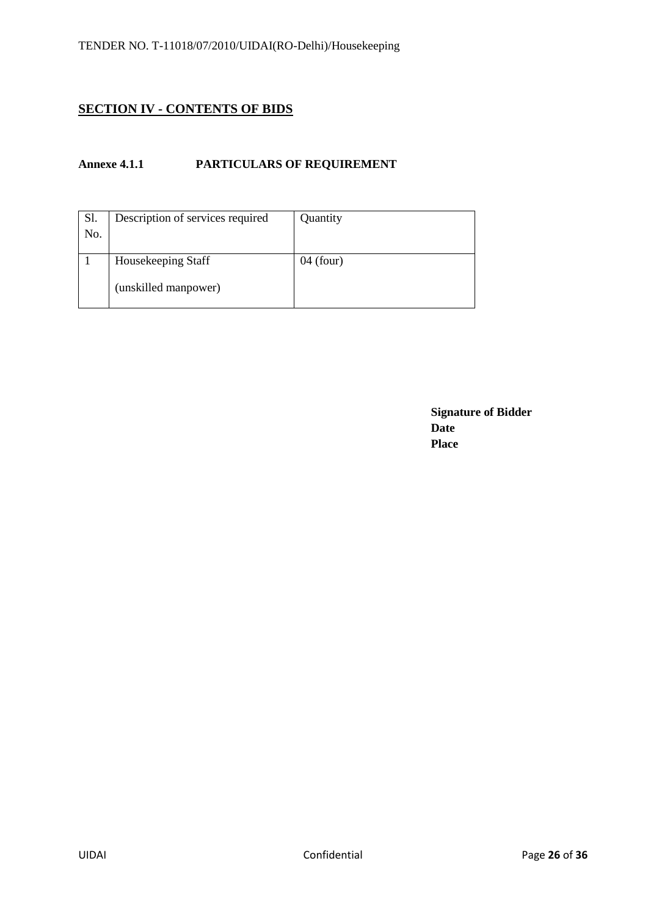# **SECTION IV - CONTENTS OF BIDS**

# **Annexe 4.1.1 PARTICULARS OF REQUIREMENT**

| Sl.<br>No. | Description of services required | Quantity    |
|------------|----------------------------------|-------------|
|            | Housekeeping Staff               | $04$ (four) |
|            | (unskilled manpower)             |             |

 **Signature of Bidder Date Place**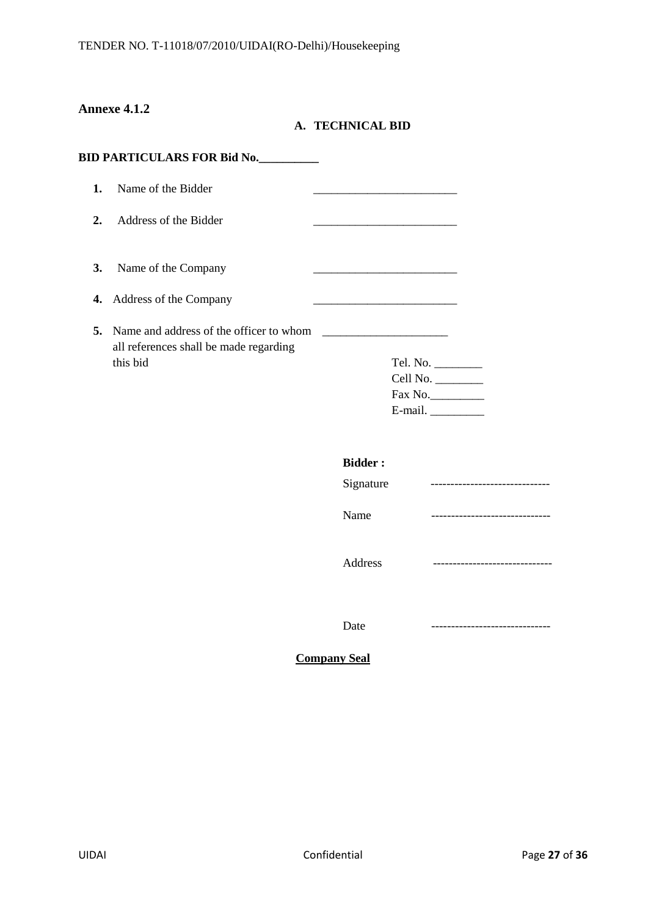# **Annexe 4.1.2**

**A. TECHNICAL BID**

|    | <b>BID PARTICULARS FOR Bid No._________</b>                                       |                                                                                                                       |                                 |
|----|-----------------------------------------------------------------------------------|-----------------------------------------------------------------------------------------------------------------------|---------------------------------|
| 1. | Name of the Bidder                                                                |                                                                                                                       |                                 |
| 2. | Address of the Bidder                                                             |                                                                                                                       |                                 |
| 3. | Name of the Company                                                               |                                                                                                                       |                                 |
| 4. | Address of the Company                                                            | <u> 1989 - Johann Barbara, martin amerikan basar dan berasal dalam basar dalam basar dalam basar dalam basar dala</u> |                                 |
| 5. | Name and address of the officer to whom<br>all references shall be made regarding |                                                                                                                       |                                 |
|    | this bid                                                                          |                                                                                                                       |                                 |
|    |                                                                                   |                                                                                                                       | Cell No.                        |
|    |                                                                                   |                                                                                                                       | Fax No.                         |
|    |                                                                                   |                                                                                                                       | E-mail.                         |
|    |                                                                                   | <b>Bidder:</b>                                                                                                        |                                 |
|    |                                                                                   | Signature                                                                                                             | ------------------------------- |
|    |                                                                                   | Name                                                                                                                  | ------------------------------- |
|    |                                                                                   | Address                                                                                                               | ------------------------------- |
|    |                                                                                   | Date                                                                                                                  | -----------------------         |

**Company Seal**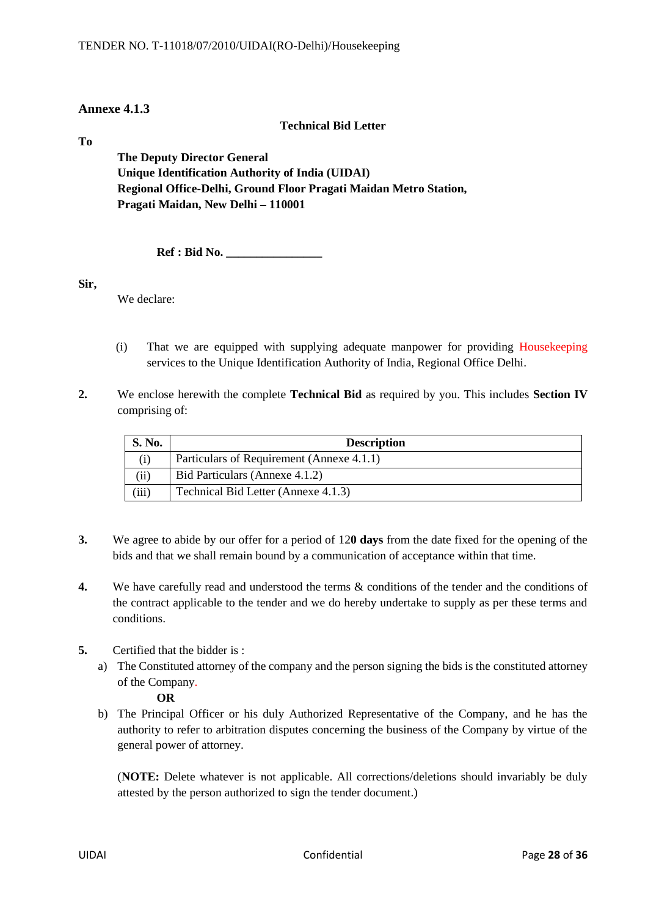### **Annexe 4.1.3**

#### **Technical Bid Letter**

**To**

**The Deputy Director General Unique Identification Authority of India (UIDAI) Regional Office-Delhi, Ground Floor Pragati Maidan Metro Station, Pragati Maidan, New Delhi – 110001**

**Ref : Bid No. \_\_\_\_\_\_\_\_\_\_\_\_\_\_\_\_**

**Sir,**

We declare:

- (i) That we are equipped with supplying adequate manpower for providing Housekeeping services to the Unique Identification Authority of India, Regional Office Delhi.
- **2.** We enclose herewith the complete **Technical Bid** as required by you. This includes **Section IV**  comprising of:

| <b>S. No.</b> | <b>Description</b>                        |  |
|---------------|-------------------------------------------|--|
|               | Particulars of Requirement (Annexe 4.1.1) |  |
| (iii)         | Bid Particulars (Annexe 4.1.2)            |  |
| (iii)         | Technical Bid Letter (Annexe 4.1.3)       |  |

- **3.** We agree to abide by our offer for a period of 12**0 days** from the date fixed for the opening of the bids and that we shall remain bound by a communication of acceptance within that time.
- **4.** We have carefully read and understood the terms & conditions of the tender and the conditions of the contract applicable to the tender and we do hereby undertake to supply as per these terms and conditions.
- **5.** Certified that the bidder is :
	- a) The Constituted attorney of the company and the person signing the bids is the constituted attorney of the Company.

**OR**

b) The Principal Officer or his duly Authorized Representative of the Company, and he has the authority to refer to arbitration disputes concerning the business of the Company by virtue of the general power of attorney.

(**NOTE:** Delete whatever is not applicable. All corrections/deletions should invariably be duly attested by the person authorized to sign the tender document.)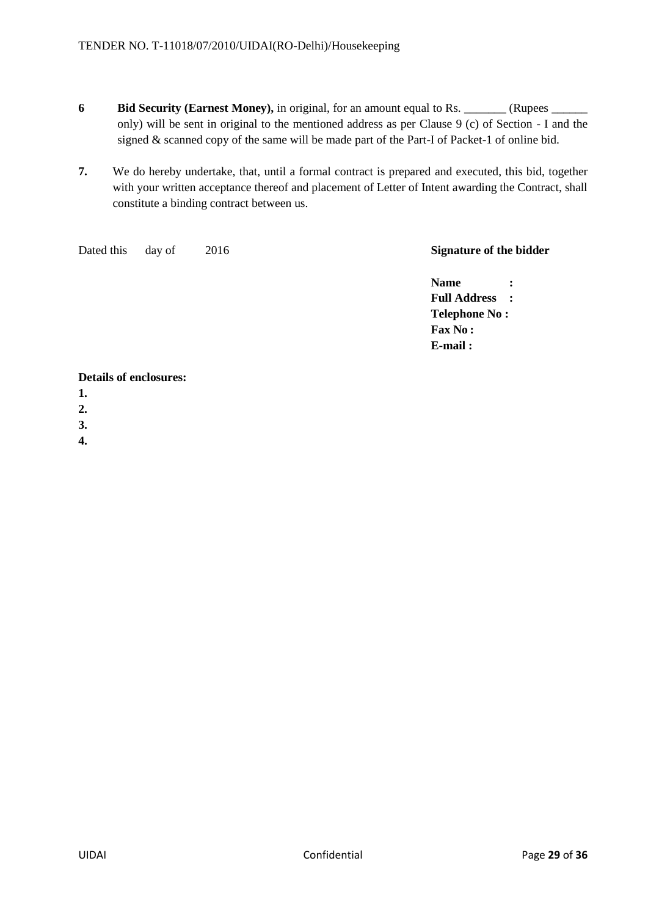- **6 Bid Security (Earnest Money),** in original, for an amount equal to Rs. \_\_\_\_\_\_\_ (Rupees \_\_\_\_\_\_\_ only) will be sent in original to the mentioned address as per Clause 9 (c) of Section - I and the signed & scanned copy of the same will be made part of the Part-I of Packet-1 of online bid.
- **7.** We do hereby undertake, that, until a formal contract is prepared and executed, this bid, together with your written acceptance thereof and placement of Letter of Intent awarding the Contract, shall constitute a binding contract between us.

Dated this day of 2016 **Signature of the bidder** 

**Name : Full Address : Telephone No : Fax No : E-mail :**

### **Details of enclosures:**

- **1.**
- **2.**
- **3.**
- **4.**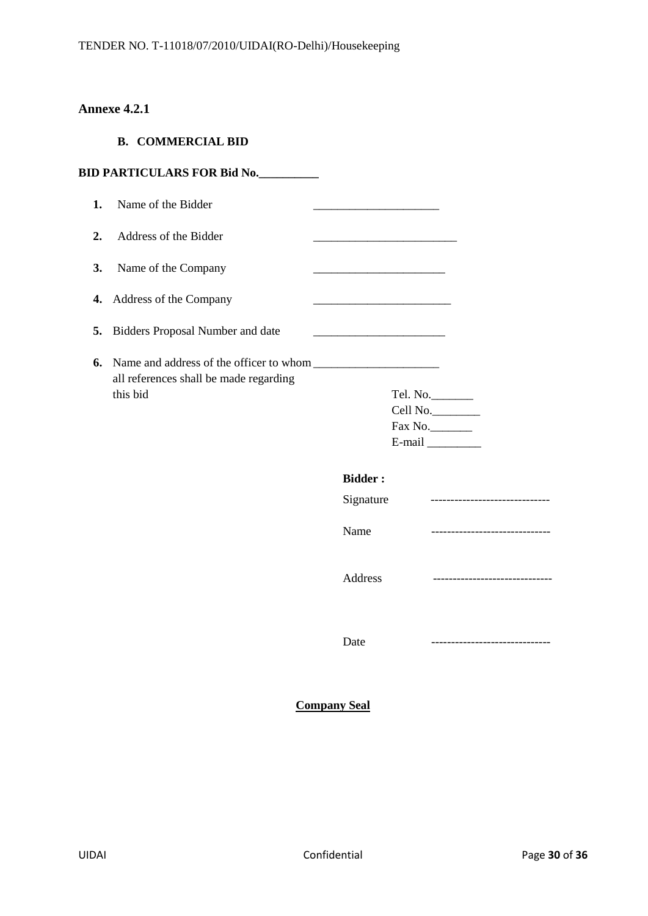# **Annexe 4.2.1**

|  | <b>B. COMMERCIAL BID</b> |  |
|--|--------------------------|--|
|--|--------------------------|--|

|    | <b>BID PARTICULARS FOR Bid No.__________</b> |                                                  |                                 |
|----|----------------------------------------------|--------------------------------------------------|---------------------------------|
| 1. | Name of the Bidder                           |                                                  |                                 |
| 2. | Address of the Bidder                        | the control of the control of the control of the |                                 |
| 3. | Name of the Company                          |                                                  |                                 |
| 4. | Address of the Company                       |                                                  |                                 |
| 5. | <b>Bidders Proposal Number and date</b>      |                                                  |                                 |
| 6. | all references shall be made regarding       |                                                  |                                 |
|    | this bid                                     |                                                  | Tel. No.                        |
|    |                                              |                                                  | Cell No.                        |
|    |                                              |                                                  | Fax No.                         |
|    |                                              |                                                  | E-mail                          |
|    |                                              |                                                  |                                 |
|    |                                              | <b>Bidder:</b>                                   |                                 |
|    |                                              | Signature                                        | ------------------------------- |
|    |                                              | Name                                             | ------------------------------- |
|    |                                              | Address                                          | ------------------------------  |
|    |                                              | Date                                             |                                 |

**Company Seal**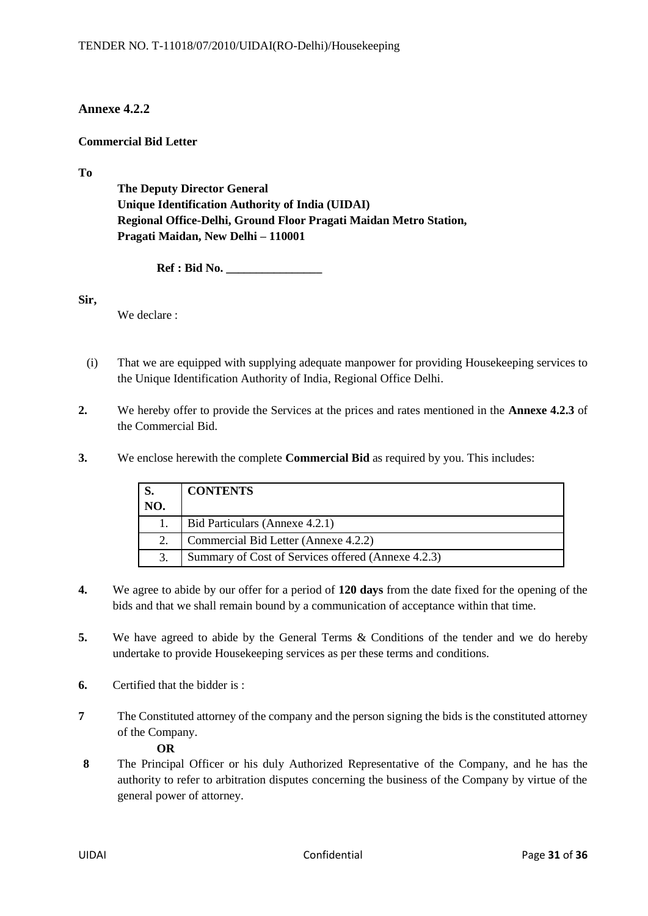# **Annexe 4.2.2**

### **Commercial Bid Letter**

**To**

**The Deputy Director General Unique Identification Authority of India (UIDAI) Regional Office-Delhi, Ground Floor Pragati Maidan Metro Station, Pragati Maidan, New Delhi – 110001**

**Ref : Bid No. \_\_\_\_\_\_\_\_\_\_\_\_\_\_\_\_**

**Sir,**

We declare :

- (i) That we are equipped with supplying adequate manpower for providing Housekeeping services to the Unique Identification Authority of India, Regional Office Delhi.
- **2.** We hereby offer to provide the Services at the prices and rates mentioned in the **Annexe 4.2.3** of the Commercial Bid.
- **3.** We enclose herewith the complete **Commercial Bid** as required by you. This includes:

|     | <b>CONTENTS</b>                                    |
|-----|----------------------------------------------------|
| NO. |                                                    |
|     | Bid Particulars (Annexe 4.2.1)                     |
| 2.  | Commercial Bid Letter (Annexe 4.2.2)               |
|     | Summary of Cost of Services offered (Annexe 4.2.3) |

- **4.** We agree to abide by our offer for a period of **120 days** from the date fixed for the opening of the bids and that we shall remain bound by a communication of acceptance within that time.
- **5.** We have agreed to abide by the General Terms & Conditions of the tender and we do hereby undertake to provide Housekeeping services as per these terms and conditions.
- **6.** Certified that the bidder is :
- **7** The Constituted attorney of the company and the person signing the bids is the constituted attorney of the Company.

#### **OR**

**8** The Principal Officer or his duly Authorized Representative of the Company, and he has the authority to refer to arbitration disputes concerning the business of the Company by virtue of the general power of attorney.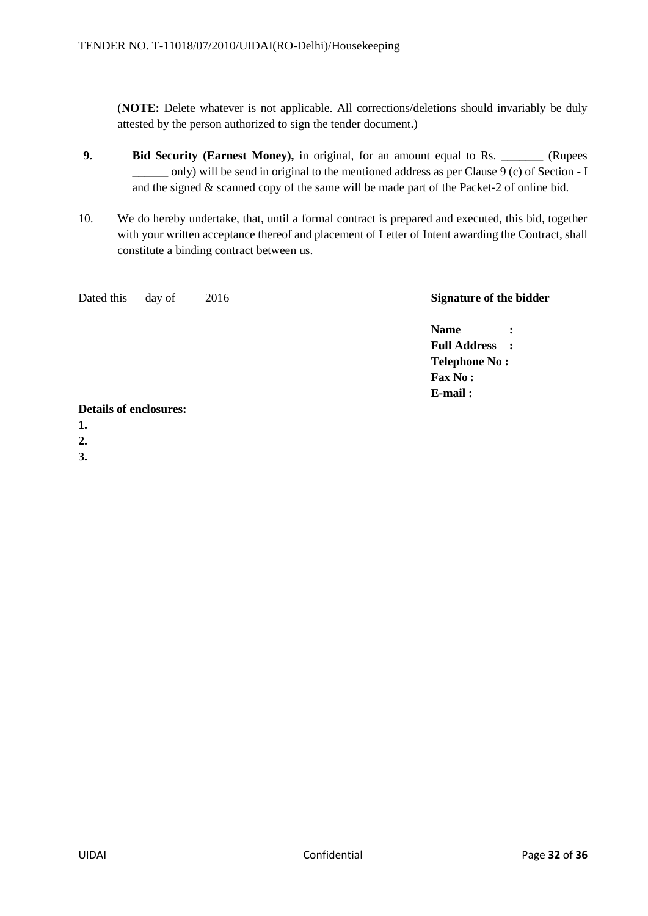(**NOTE:** Delete whatever is not applicable. All corrections/deletions should invariably be duly attested by the person authorized to sign the tender document.)

- **9. Bid Security (Earnest Money),** in original, for an amount equal to Rs. \_\_\_\_\_\_\_ (Rupees \_\_\_\_\_\_ only) will be send in original to the mentioned address as per Clause 9 (c) of Section - I and the signed  $\&$  scanned copy of the same will be made part of the Packet-2 of online bid.
- 10. We do hereby undertake, that, until a formal contract is prepared and executed, this bid, together with your written acceptance thereof and placement of Letter of Intent awarding the Contract, shall constitute a binding contract between us.

| Dated this                    | day of | 2016 | <b>Signature of the bidder</b> |  |
|-------------------------------|--------|------|--------------------------------|--|
|                               |        |      | <b>Name</b><br>$\ddot{\cdot}$  |  |
|                               |        |      | <b>Full Address :</b>          |  |
|                               |        |      | <b>Telephone No:</b>           |  |
|                               |        |      | Fax No:                        |  |
|                               |        |      | E-mail:                        |  |
| <b>Details of enclosures:</b> |        |      |                                |  |
| 1.                            |        |      |                                |  |
| 2.                            |        |      |                                |  |
| 3.                            |        |      |                                |  |
|                               |        |      |                                |  |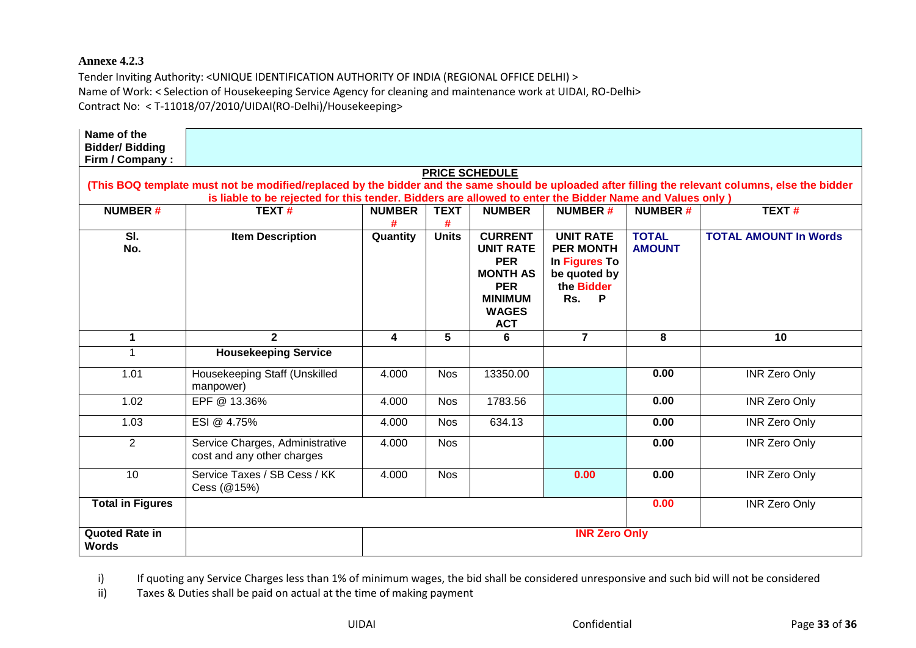### **Annexe 4.2.3**

Tender Inviting Authority: <UNIQUE IDENTIFICATION AUTHORITY OF INDIA (REGIONAL OFFICE DELHI) > Name of Work: < Selection of Housekeeping Service Agency for cleaning and maintenance work at UIDAI, RO-Delhi> Contract No: < T-11018/07/2010/UIDAI(RO-Delhi)/Housekeeping>

| Name of the<br><b>Bidder/Bidding</b>                                                                                                                                                                                                                                                   |                                                               |                              |                  |                                                                                                                                   |                                                                                                 |                               |                              |  |
|----------------------------------------------------------------------------------------------------------------------------------------------------------------------------------------------------------------------------------------------------------------------------------------|---------------------------------------------------------------|------------------------------|------------------|-----------------------------------------------------------------------------------------------------------------------------------|-------------------------------------------------------------------------------------------------|-------------------------------|------------------------------|--|
| Firm / Company:                                                                                                                                                                                                                                                                        |                                                               |                              |                  |                                                                                                                                   |                                                                                                 |                               |                              |  |
| <b>PRICE SCHEDULE</b><br>(This BOQ template must not be modified/replaced by the bidder and the same should be uploaded after filling the relevant columns, else the bidder<br>is liable to be rejected for this tender. Bidders are allowed to enter the Bidder Name and Values only) |                                                               |                              |                  |                                                                                                                                   |                                                                                                 |                               |                              |  |
| <b>NUMBER#</b>                                                                                                                                                                                                                                                                         | TEXT#                                                         | <b>NUMBER</b><br>#           | <b>TEXT</b><br># | <b>NUMBER</b>                                                                                                                     | <b>NUMBER#</b>                                                                                  | TEXT#<br><b>NUMBER#</b>       |                              |  |
| SI.<br>No.                                                                                                                                                                                                                                                                             | <b>Item Description</b>                                       | Quantity                     | <b>Units</b>     | <b>CURRENT</b><br><b>UNIT RATE</b><br><b>PER</b><br><b>MONTH AS</b><br><b>PER</b><br><b>MINIMUM</b><br><b>WAGES</b><br><b>ACT</b> | <b>UNIT RATE</b><br><b>PER MONTH</b><br>In Figures To<br>be quoted by<br>the Bidder<br>Rs.<br>P | <b>TOTAL</b><br><b>AMOUNT</b> | <b>TOTAL AMOUNT In Words</b> |  |
| $\blacktriangleleft$                                                                                                                                                                                                                                                                   | $\mathbf{2}$                                                  |                              | 5                | 6                                                                                                                                 | $\overline{7}$                                                                                  | 8                             | 10                           |  |
|                                                                                                                                                                                                                                                                                        | <b>Housekeeping Service</b>                                   |                              |                  |                                                                                                                                   |                                                                                                 |                               |                              |  |
| 1.01                                                                                                                                                                                                                                                                                   | Housekeeping Staff (Unskilled<br>manpower)                    | 4.000                        | <b>Nos</b>       | 13350.00                                                                                                                          |                                                                                                 | 0.00                          | <b>INR Zero Only</b>         |  |
| 1.02                                                                                                                                                                                                                                                                                   | EPF @ 13.36%                                                  | 4.000                        | <b>Nos</b>       | 1783.56                                                                                                                           |                                                                                                 | 0.00                          | <b>INR Zero Only</b>         |  |
| 1.03                                                                                                                                                                                                                                                                                   | ESI @ 4.75%                                                   | 4.000                        | <b>Nos</b>       | 634.13                                                                                                                            |                                                                                                 | 0.00                          | <b>INR Zero Only</b>         |  |
| 2                                                                                                                                                                                                                                                                                      | Service Charges, Administrative<br>cost and any other charges | 4.000                        | <b>Nos</b>       |                                                                                                                                   |                                                                                                 | 0.00                          | <b>INR Zero Only</b>         |  |
| 10                                                                                                                                                                                                                                                                                     | Service Taxes / SB Cess / KK<br>Cess (@15%)                   | 4.000                        | <b>Nos</b>       |                                                                                                                                   | 0.00                                                                                            | 0.00                          | <b>INR Zero Only</b>         |  |
| <b>Total in Figures</b>                                                                                                                                                                                                                                                                |                                                               | 0.00<br><b>INR Zero Only</b> |                  |                                                                                                                                   |                                                                                                 |                               |                              |  |
| <b>Quoted Rate in</b><br><b>Words</b>                                                                                                                                                                                                                                                  |                                                               | <b>INR Zero Only</b>         |                  |                                                                                                                                   |                                                                                                 |                               |                              |  |

i) If quoting any Service Charges less than 1% of minimum wages, the bid shall be considered unresponsive and such bid will not be considered

ii) Taxes & Duties shall be paid on actual at the time of making payment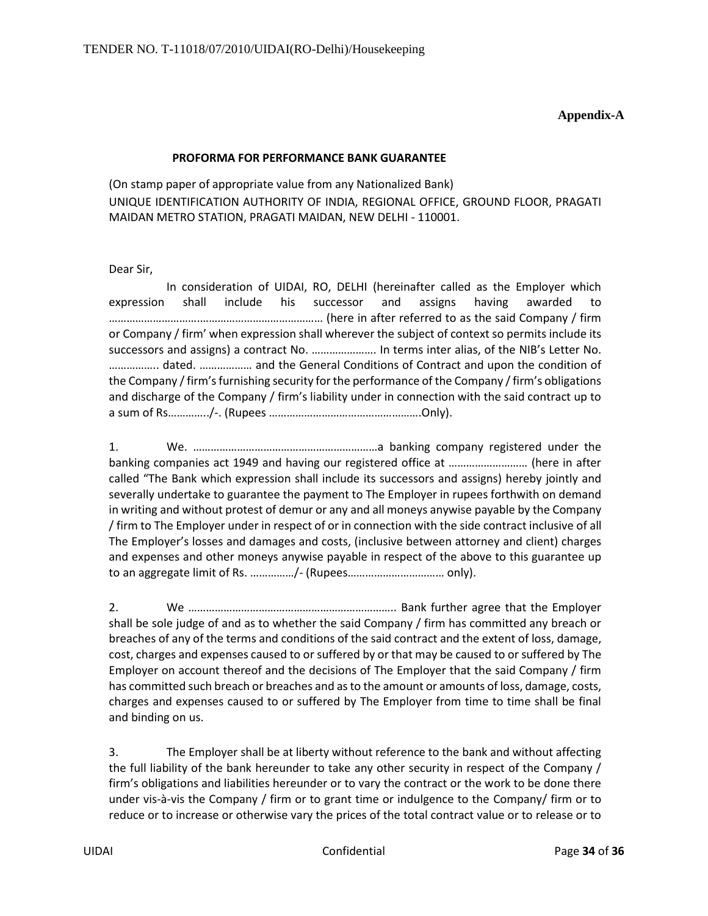#### **PROFORMA FOR PERFORMANCE BANK GUARANTEE**

(On stamp paper of appropriate value from any Nationalized Bank) UNIQUE IDENTIFICATION AUTHORITY OF INDIA, REGIONAL OFFICE, GROUND FLOOR, PRAGATI MAIDAN METRO STATION, PRAGATI MAIDAN, NEW DELHI - 110001.

Dear Sir,

In consideration of UIDAI, RO, DELHI (hereinafter called as the Employer which expression shall include his successor and assigns having awarded to ………………………….…………………………………… (here in after referred to as the said Company / firm or Company / firm' when expression shall wherever the subject of context so permits include its successors and assigns) a contract No. …………………. In terms inter alias, of the NIB's Letter No. …………….. dated. ……………… and the General Conditions of Contract and upon the condition of the Company / firm's furnishing security for the performance of the Company / firm's obligations and discharge of the Company / firm's liability under in connection with the said contract up to a sum of Rs…………../-. (Rupees …………………………………………….Only).

1. We. ………………………………………………………a banking company registered under the banking companies act 1949 and having our registered office at ……………………… (here in after called "The Bank which expression shall include its successors and assigns) hereby jointly and severally undertake to guarantee the payment to The Employer in rupees forthwith on demand in writing and without protest of demur or any and all moneys anywise payable by the Company / firm to The Employer under in respect of or in connection with the side contract inclusive of all The Employer's losses and damages and costs, (inclusive between attorney and client) charges and expenses and other moneys anywise payable in respect of the above to this guarantee up to an aggregate limit of Rs. ……………/- (Rupees…………………………… only).

2. We …………………………………………………………….. Bank further agree that the Employer shall be sole judge of and as to whether the said Company / firm has committed any breach or breaches of any of the terms and conditions of the said contract and the extent of loss, damage, cost, charges and expenses caused to or suffered by or that may be caused to or suffered by The Employer on account thereof and the decisions of The Employer that the said Company / firm has committed such breach or breaches and as to the amount or amounts of loss, damage, costs, charges and expenses caused to or suffered by The Employer from time to time shall be final and binding on us.

3. The Employer shall be at liberty without reference to the bank and without affecting the full liability of the bank hereunder to take any other security in respect of the Company / firm's obligations and liabilities hereunder or to vary the contract or the work to be done there under vis-à-vis the Company / firm or to grant time or indulgence to the Company/ firm or to reduce or to increase or otherwise vary the prices of the total contract value or to release or to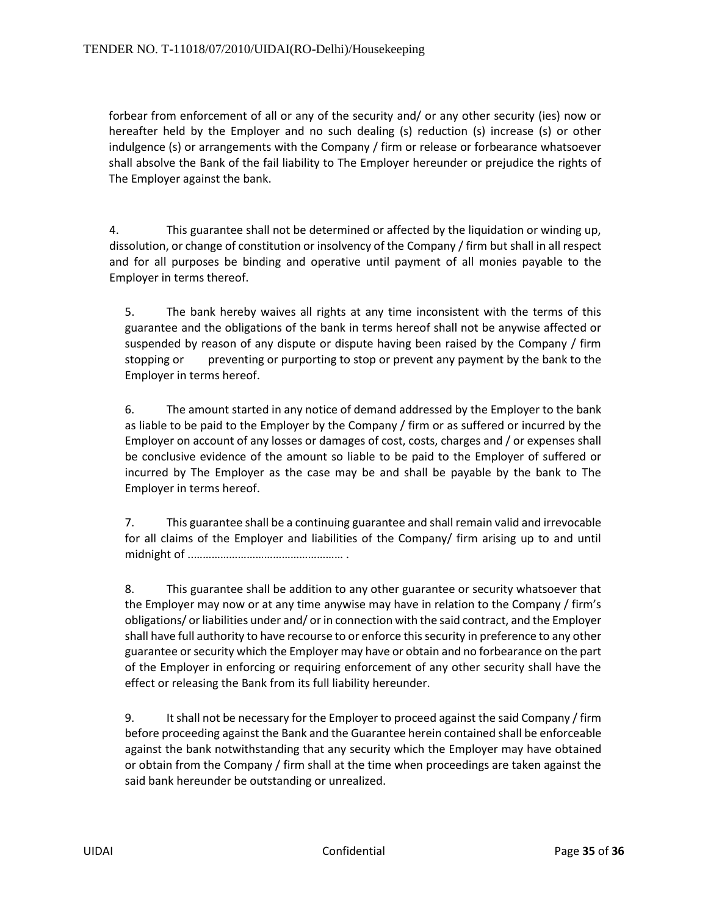forbear from enforcement of all or any of the security and/ or any other security (ies) now or hereafter held by the Employer and no such dealing (s) reduction (s) increase (s) or other indulgence (s) or arrangements with the Company / firm or release or forbearance whatsoever shall absolve the Bank of the fail liability to The Employer hereunder or prejudice the rights of The Employer against the bank.

4. This guarantee shall not be determined or affected by the liquidation or winding up, dissolution, or change of constitution or insolvency of the Company / firm but shall in all respect and for all purposes be binding and operative until payment of all monies payable to the Employer in terms thereof.

5. The bank hereby waives all rights at any time inconsistent with the terms of this guarantee and the obligations of the bank in terms hereof shall not be anywise affected or suspended by reason of any dispute or dispute having been raised by the Company / firm stopping or preventing or purporting to stop or prevent any payment by the bank to the Employer in terms hereof.

6. The amount started in any notice of demand addressed by the Employer to the bank as liable to be paid to the Employer by the Company / firm or as suffered or incurred by the Employer on account of any losses or damages of cost, costs, charges and / or expenses shall be conclusive evidence of the amount so liable to be paid to the Employer of suffered or incurred by The Employer as the case may be and shall be payable by the bank to The Employer in terms hereof.

7. This guarantee shall be a continuing guarantee and shall remain valid and irrevocable for all claims of the Employer and liabilities of the Company/ firm arising up to and until midnight of ..…………………………………………… .

8. This guarantee shall be addition to any other guarantee or security whatsoever that the Employer may now or at any time anywise may have in relation to the Company / firm's obligations/ or liabilities under and/ or in connection with the said contract, and the Employer shall have full authority to have recourse to or enforce this security in preference to any other guarantee or security which the Employer may have or obtain and no forbearance on the part of the Employer in enforcing or requiring enforcement of any other security shall have the effect or releasing the Bank from its full liability hereunder.

9. It shall not be necessary for the Employer to proceed against the said Company / firm before proceeding against the Bank and the Guarantee herein contained shall be enforceable against the bank notwithstanding that any security which the Employer may have obtained or obtain from the Company / firm shall at the time when proceedings are taken against the said bank hereunder be outstanding or unrealized.